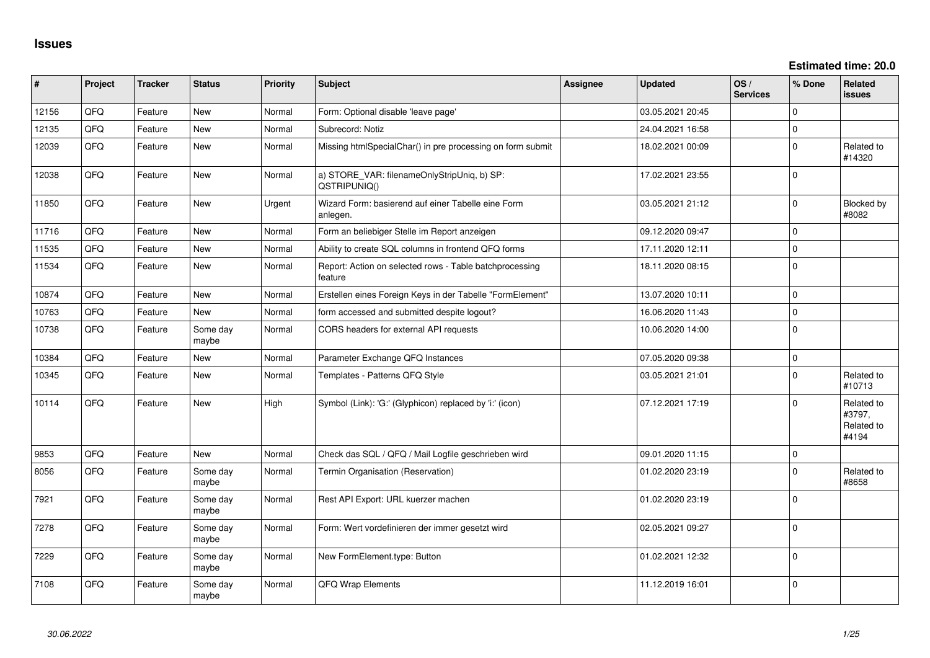**Estimated time: 20.0**

| #     | Project | <b>Tracker</b> | <b>Status</b>     | <b>Priority</b> | <b>Subject</b>                                                     | Assignee | <b>Updated</b>   | OS/<br><b>Services</b> | % Done      | <b>Related</b><br>issues                    |
|-------|---------|----------------|-------------------|-----------------|--------------------------------------------------------------------|----------|------------------|------------------------|-------------|---------------------------------------------|
| 12156 | QFQ     | Feature        | New               | Normal          | Form: Optional disable 'leave page'                                |          | 03.05.2021 20:45 |                        | $\Omega$    |                                             |
| 12135 | QFQ     | Feature        | <b>New</b>        | Normal          | Subrecord: Notiz                                                   |          | 24.04.2021 16:58 |                        | $\Omega$    |                                             |
| 12039 | QFQ     | Feature        | <b>New</b>        | Normal          | Missing htmlSpecialChar() in pre processing on form submit         |          | 18.02.2021 00:09 |                        | $\Omega$    | Related to<br>#14320                        |
| 12038 | QFQ     | Feature        | New               | Normal          | a) STORE_VAR: filenameOnlyStripUniq, b) SP:<br>QSTRIPUNIQ()        |          | 17.02.2021 23:55 |                        | $\Omega$    |                                             |
| 11850 | QFQ     | Feature        | <b>New</b>        | Urgent          | Wizard Form: basierend auf einer Tabelle eine Form<br>anlegen.     |          | 03.05.2021 21:12 |                        | $\Omega$    | Blocked by<br>#8082                         |
| 11716 | QFQ     | Feature        | <b>New</b>        | Normal          | Form an beliebiger Stelle im Report anzeigen                       |          | 09.12.2020 09:47 |                        | $\Omega$    |                                             |
| 11535 | QFQ     | Feature        | <b>New</b>        | Normal          | Ability to create SQL columns in frontend QFQ forms                |          | 17.11.2020 12:11 |                        | $\Omega$    |                                             |
| 11534 | QFQ     | Feature        | <b>New</b>        | Normal          | Report: Action on selected rows - Table batchprocessing<br>feature |          | 18.11.2020 08:15 |                        | $\Omega$    |                                             |
| 10874 | QFQ     | Feature        | <b>New</b>        | Normal          | Erstellen eines Foreign Keys in der Tabelle "FormElement"          |          | 13.07.2020 10:11 |                        | $\Omega$    |                                             |
| 10763 | QFQ     | Feature        | <b>New</b>        | Normal          | form accessed and submitted despite logout?                        |          | 16.06.2020 11:43 |                        | $\Omega$    |                                             |
| 10738 | QFQ     | Feature        | Some day<br>maybe | Normal          | CORS headers for external API requests                             |          | 10.06.2020 14:00 |                        | $\Omega$    |                                             |
| 10384 | QFQ     | Feature        | <b>New</b>        | Normal          | Parameter Exchange QFQ Instances                                   |          | 07.05.2020 09:38 |                        | $\mathbf 0$ |                                             |
| 10345 | QFQ     | Feature        | <b>New</b>        | Normal          | Templates - Patterns QFQ Style                                     |          | 03.05.2021 21:01 |                        | $\Omega$    | Related to<br>#10713                        |
| 10114 | QFQ     | Feature        | New               | High            | Symbol (Link): 'G:' (Glyphicon) replaced by 'i:' (icon)            |          | 07.12.2021 17:19 |                        | $\Omega$    | Related to<br>#3797,<br>Related to<br>#4194 |
| 9853  | QFQ     | Feature        | <b>New</b>        | Normal          | Check das SQL / QFQ / Mail Logfile geschrieben wird                |          | 09.01.2020 11:15 |                        | $\mathbf 0$ |                                             |
| 8056  | QFQ     | Feature        | Some day<br>maybe | Normal          | Termin Organisation (Reservation)                                  |          | 01.02.2020 23:19 |                        | $\Omega$    | Related to<br>#8658                         |
| 7921  | QFQ     | Feature        | Some day<br>maybe | Normal          | Rest API Export: URL kuerzer machen                                |          | 01.02.2020 23:19 |                        | $\Omega$    |                                             |
| 7278  | QFQ     | Feature        | Some day<br>maybe | Normal          | Form: Wert vordefinieren der immer gesetzt wird                    |          | 02.05.2021 09:27 |                        | $\Omega$    |                                             |
| 7229  | QFQ     | Feature        | Some day<br>maybe | Normal          | New FormElement.type: Button                                       |          | 01.02.2021 12:32 |                        | $\Omega$    |                                             |
| 7108  | QFQ     | Feature        | Some day<br>maybe | Normal          | QFQ Wrap Elements                                                  |          | 11.12.2019 16:01 |                        | $\Omega$    |                                             |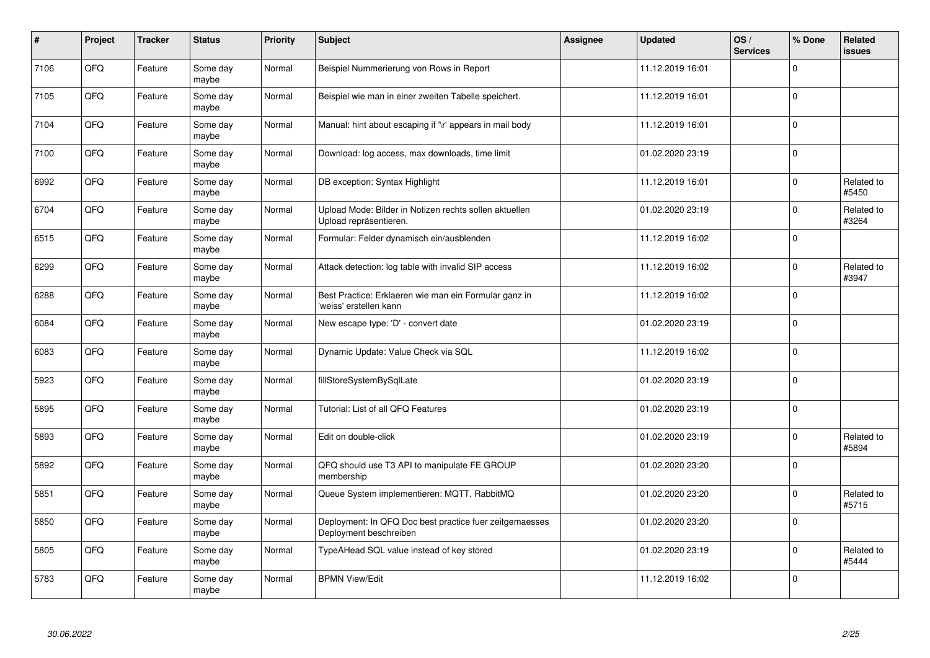| $\vert$ # | Project | <b>Tracker</b> | <b>Status</b>     | <b>Priority</b> | <b>Subject</b>                                                                    | Assignee | <b>Updated</b>   | OS/<br><b>Services</b> | % Done         | Related<br><b>issues</b> |
|-----------|---------|----------------|-------------------|-----------------|-----------------------------------------------------------------------------------|----------|------------------|------------------------|----------------|--------------------------|
| 7106      | QFQ     | Feature        | Some day<br>maybe | Normal          | Beispiel Nummerierung von Rows in Report                                          |          | 11.12.2019 16:01 |                        | $\mathbf 0$    |                          |
| 7105      | QFQ     | Feature        | Some day<br>maybe | Normal          | Beispiel wie man in einer zweiten Tabelle speichert.                              |          | 11.12.2019 16:01 |                        | $\mathbf 0$    |                          |
| 7104      | QFQ     | Feature        | Some day<br>maybe | Normal          | Manual: hint about escaping if '\r' appears in mail body                          |          | 11.12.2019 16:01 |                        | $\pmb{0}$      |                          |
| 7100      | QFQ     | Feature        | Some day<br>maybe | Normal          | Download: log access, max downloads, time limit                                   |          | 01.02.2020 23:19 |                        | $\Omega$       |                          |
| 6992      | QFQ     | Feature        | Some day<br>maybe | Normal          | DB exception: Syntax Highlight                                                    |          | 11.12.2019 16:01 |                        | $\mathbf 0$    | Related to<br>#5450      |
| 6704      | QFQ     | Feature        | Some day<br>maybe | Normal          | Upload Mode: Bilder in Notizen rechts sollen aktuellen<br>Upload repräsentieren.  |          | 01.02.2020 23:19 |                        | $\pmb{0}$      | Related to<br>#3264      |
| 6515      | QFQ     | Feature        | Some day<br>maybe | Normal          | Formular: Felder dynamisch ein/ausblenden                                         |          | 11.12.2019 16:02 |                        | $\mathbf 0$    |                          |
| 6299      | QFQ     | Feature        | Some day<br>maybe | Normal          | Attack detection: log table with invalid SIP access                               |          | 11.12.2019 16:02 |                        | $\mathbf 0$    | Related to<br>#3947      |
| 6288      | QFQ     | Feature        | Some day<br>maybe | Normal          | Best Practice: Erklaeren wie man ein Formular ganz in<br>'weiss' erstellen kann   |          | 11.12.2019 16:02 |                        | $\Omega$       |                          |
| 6084      | QFQ     | Feature        | Some day<br>maybe | Normal          | New escape type: 'D' - convert date                                               |          | 01.02.2020 23:19 |                        | $\mathbf 0$    |                          |
| 6083      | QFQ     | Feature        | Some day<br>maybe | Normal          | Dynamic Update: Value Check via SQL                                               |          | 11.12.2019 16:02 |                        | $\mathbf 0$    |                          |
| 5923      | QFQ     | Feature        | Some day<br>maybe | Normal          | fillStoreSystemBySqlLate                                                          |          | 01.02.2020 23:19 |                        | $\overline{0}$ |                          |
| 5895      | QFQ     | Feature        | Some day<br>maybe | Normal          | Tutorial: List of all QFQ Features                                                |          | 01.02.2020 23:19 |                        | $\overline{0}$ |                          |
| 5893      | QFQ     | Feature        | Some day<br>maybe | Normal          | Edit on double-click                                                              |          | 01.02.2020 23:19 |                        | $\mathbf 0$    | Related to<br>#5894      |
| 5892      | QFQ     | Feature        | Some day<br>maybe | Normal          | QFQ should use T3 API to manipulate FE GROUP<br>membership                        |          | 01.02.2020 23:20 |                        | $\Omega$       |                          |
| 5851      | QFQ     | Feature        | Some day<br>maybe | Normal          | Queue System implementieren: MQTT, RabbitMQ                                       |          | 01.02.2020 23:20 |                        | $\Omega$       | Related to<br>#5715      |
| 5850      | QFQ     | Feature        | Some day<br>maybe | Normal          | Deployment: In QFQ Doc best practice fuer zeitgemaesses<br>Deployment beschreiben |          | 01.02.2020 23:20 |                        | $\mathbf 0$    |                          |
| 5805      | QFQ     | Feature        | Some day<br>maybe | Normal          | TypeAHead SQL value instead of key stored                                         |          | 01.02.2020 23:19 |                        | $\pmb{0}$      | Related to<br>#5444      |
| 5783      | QFQ     | Feature        | Some day<br>maybe | Normal          | <b>BPMN View/Edit</b>                                                             |          | 11.12.2019 16:02 |                        | $\mathbf 0$    |                          |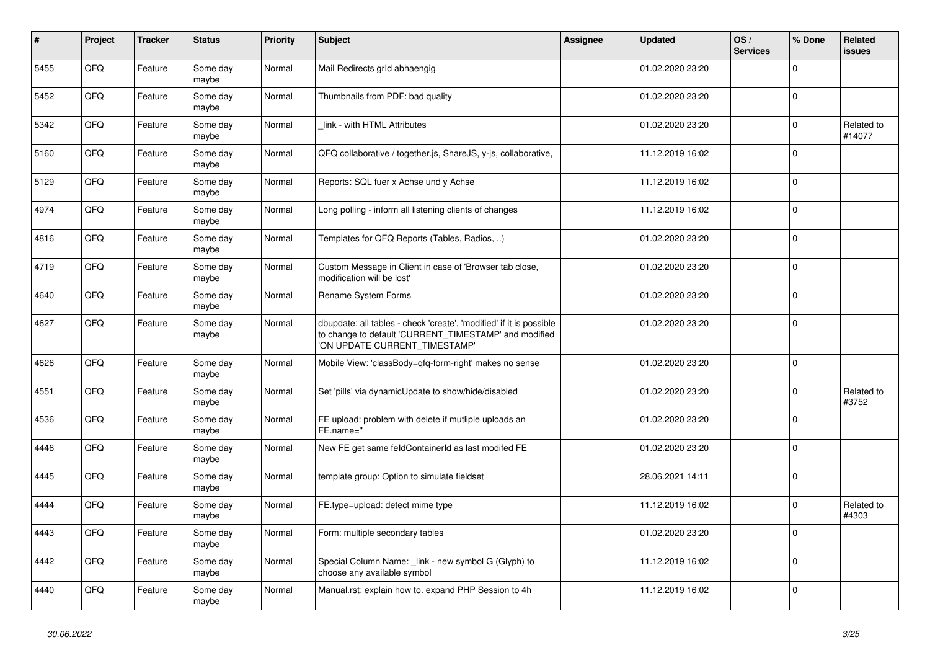| #    | Project | <b>Tracker</b> | <b>Status</b>     | <b>Priority</b> | <b>Subject</b>                                                                                                                                                | Assignee | <b>Updated</b>   | OS/<br><b>Services</b> | % Done       | Related<br><b>issues</b> |
|------|---------|----------------|-------------------|-----------------|---------------------------------------------------------------------------------------------------------------------------------------------------------------|----------|------------------|------------------------|--------------|--------------------------|
| 5455 | QFQ     | Feature        | Some day<br>maybe | Normal          | Mail Redirects grld abhaengig                                                                                                                                 |          | 01.02.2020 23:20 |                        | $\Omega$     |                          |
| 5452 | QFQ     | Feature        | Some day<br>maybe | Normal          | Thumbnails from PDF: bad quality                                                                                                                              |          | 01.02.2020 23:20 |                        | $\mathbf 0$  |                          |
| 5342 | QFQ     | Feature        | Some day<br>maybe | Normal          | link - with HTML Attributes                                                                                                                                   |          | 01.02.2020 23:20 |                        | $\Omega$     | Related to<br>#14077     |
| 5160 | QFQ     | Feature        | Some day<br>maybe | Normal          | QFQ collaborative / together.js, ShareJS, y-js, collaborative,                                                                                                |          | 11.12.2019 16:02 |                        | $\Omega$     |                          |
| 5129 | QFQ     | Feature        | Some day<br>maybe | Normal          | Reports: SQL fuer x Achse und y Achse                                                                                                                         |          | 11.12.2019 16:02 |                        | $\mathbf 0$  |                          |
| 4974 | QFQ     | Feature        | Some day<br>maybe | Normal          | Long polling - inform all listening clients of changes                                                                                                        |          | 11.12.2019 16:02 |                        | $\Omega$     |                          |
| 4816 | QFQ     | Feature        | Some day<br>maybe | Normal          | Templates for QFQ Reports (Tables, Radios, )                                                                                                                  |          | 01.02.2020 23:20 |                        | $\Omega$     |                          |
| 4719 | QFQ     | Feature        | Some day<br>maybe | Normal          | Custom Message in Client in case of 'Browser tab close,<br>modification will be lost'                                                                         |          | 01.02.2020 23:20 |                        | $\Omega$     |                          |
| 4640 | QFQ     | Feature        | Some day<br>maybe | Normal          | Rename System Forms                                                                                                                                           |          | 01.02.2020 23:20 |                        | $\Omega$     |                          |
| 4627 | QFQ     | Feature        | Some day<br>maybe | Normal          | dbupdate: all tables - check 'create', 'modified' if it is possible<br>to change to default 'CURRENT_TIMESTAMP' and modified<br>'ON UPDATE CURRENT_TIMESTAMP' |          | 01.02.2020 23:20 |                        | 0            |                          |
| 4626 | QFQ     | Feature        | Some day<br>maybe | Normal          | Mobile View: 'classBody=qfq-form-right' makes no sense                                                                                                        |          | 01.02.2020 23:20 |                        | $\Omega$     |                          |
| 4551 | QFQ     | Feature        | Some day<br>maybe | Normal          | Set 'pills' via dynamicUpdate to show/hide/disabled                                                                                                           |          | 01.02.2020 23:20 |                        | $\mathbf{0}$ | Related to<br>#3752      |
| 4536 | QFQ     | Feature        | Some day<br>maybe | Normal          | FE upload: problem with delete if mutliple uploads an<br>FE.name="                                                                                            |          | 01.02.2020 23:20 |                        | $\mathbf 0$  |                          |
| 4446 | QFQ     | Feature        | Some day<br>maybe | Normal          | New FE get same feldContainerId as last modifed FE                                                                                                            |          | 01.02.2020 23:20 |                        | 0            |                          |
| 4445 | QFQ     | Feature        | Some day<br>maybe | Normal          | template group: Option to simulate fieldset                                                                                                                   |          | 28.06.2021 14:11 |                        | l 0          |                          |
| 4444 | QFQ     | Feature        | Some day<br>maybe | Normal          | FE.type=upload: detect mime type                                                                                                                              |          | 11.12.2019 16:02 |                        | $\Omega$     | Related to<br>#4303      |
| 4443 | QFQ     | Feature        | Some day<br>maybe | Normal          | Form: multiple secondary tables                                                                                                                               |          | 01.02.2020 23:20 |                        | $\Omega$     |                          |
| 4442 | QFQ     | Feature        | Some day<br>maybe | Normal          | Special Column Name: _link - new symbol G (Glyph) to<br>choose any available symbol                                                                           |          | 11.12.2019 16:02 |                        | $\mathbf 0$  |                          |
| 4440 | QFQ     | Feature        | Some day<br>maybe | Normal          | Manual.rst: explain how to. expand PHP Session to 4h                                                                                                          |          | 11.12.2019 16:02 |                        | $\Omega$     |                          |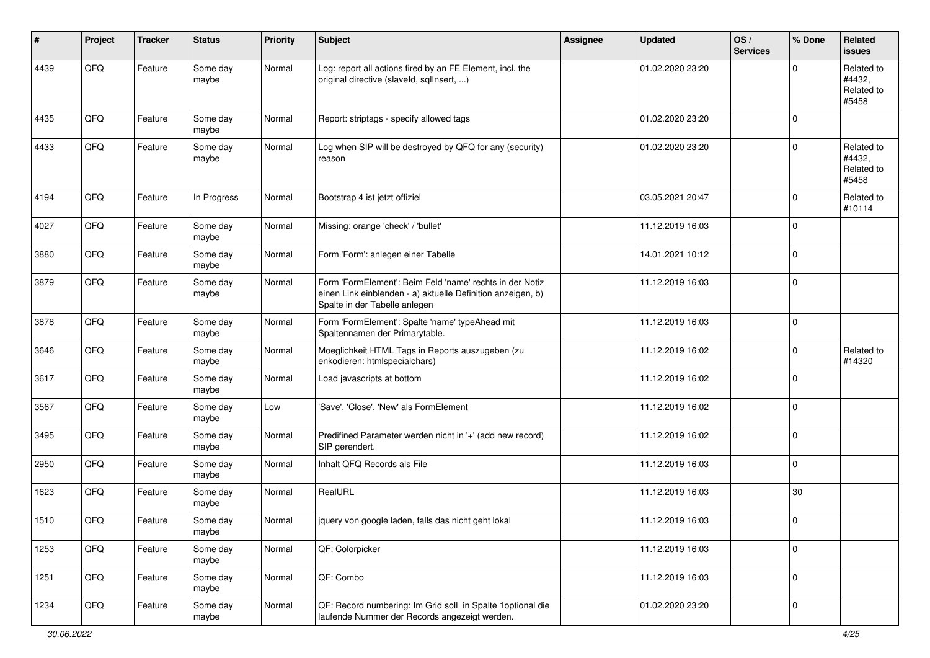| ∦    | Project | <b>Tracker</b> | <b>Status</b>     | <b>Priority</b> | <b>Subject</b>                                                                                                                                           | Assignee | <b>Updated</b>   | OS/<br><b>Services</b> | % Done              | Related<br><b>issues</b>                    |
|------|---------|----------------|-------------------|-----------------|----------------------------------------------------------------------------------------------------------------------------------------------------------|----------|------------------|------------------------|---------------------|---------------------------------------------|
| 4439 | QFQ     | Feature        | Some day<br>maybe | Normal          | Log: report all actions fired by an FE Element, incl. the<br>original directive (slaveld, sqlInsert, )                                                   |          | 01.02.2020 23:20 |                        | $\mathbf 0$         | Related to<br>#4432,<br>Related to<br>#5458 |
| 4435 | QFQ     | Feature        | Some day<br>maybe | Normal          | Report: striptags - specify allowed tags                                                                                                                 |          | 01.02.2020 23:20 |                        | $\mathbf 0$         |                                             |
| 4433 | QFQ     | Feature        | Some day<br>maybe | Normal          | Log when SIP will be destroyed by QFQ for any (security)<br>reason                                                                                       |          | 01.02.2020 23:20 |                        | $\mathbf 0$         | Related to<br>#4432,<br>Related to<br>#5458 |
| 4194 | QFQ     | Feature        | In Progress       | Normal          | Bootstrap 4 ist jetzt offiziel                                                                                                                           |          | 03.05.2021 20:47 |                        | $\mathbf 0$         | Related to<br>#10114                        |
| 4027 | QFQ     | Feature        | Some day<br>maybe | Normal          | Missing: orange 'check' / 'bullet'                                                                                                                       |          | 11.12.2019 16:03 |                        | $\mathbf 0$         |                                             |
| 3880 | QFQ     | Feature        | Some day<br>maybe | Normal          | Form 'Form': anlegen einer Tabelle                                                                                                                       |          | 14.01.2021 10:12 |                        | $\mathbf 0$         |                                             |
| 3879 | QFQ     | Feature        | Some day<br>maybe | Normal          | Form 'FormElement': Beim Feld 'name' rechts in der Notiz<br>einen Link einblenden - a) aktuelle Definition anzeigen, b)<br>Spalte in der Tabelle anlegen |          | 11.12.2019 16:03 |                        | $\mathbf 0$         |                                             |
| 3878 | QFQ     | Feature        | Some day<br>maybe | Normal          | Form 'FormElement': Spalte 'name' typeAhead mit<br>Spaltennamen der Primarytable.                                                                        |          | 11.12.2019 16:03 |                        | $\mathbf 0$         |                                             |
| 3646 | QFQ     | Feature        | Some day<br>maybe | Normal          | Moeglichkeit HTML Tags in Reports auszugeben (zu<br>enkodieren: htmlspecialchars)                                                                        |          | 11.12.2019 16:02 |                        | $\mathbf 0$         | Related to<br>#14320                        |
| 3617 | QFQ     | Feature        | Some day<br>maybe | Normal          | Load javascripts at bottom                                                                                                                               |          | 11.12.2019 16:02 |                        | $\mathbf 0$         |                                             |
| 3567 | QFQ     | Feature        | Some day<br>maybe | Low             | 'Save', 'Close', 'New' als FormElement                                                                                                                   |          | 11.12.2019 16:02 |                        | $\mathbf 0$         |                                             |
| 3495 | QFQ     | Feature        | Some day<br>maybe | Normal          | Predifined Parameter werden nicht in '+' (add new record)<br>SIP gerendert.                                                                              |          | 11.12.2019 16:02 |                        | $\mathbf 0$         |                                             |
| 2950 | QFQ     | Feature        | Some day<br>maybe | Normal          | Inhalt QFQ Records als File                                                                                                                              |          | 11.12.2019 16:03 |                        | $\mathbf 0$         |                                             |
| 1623 | QFQ     | Feature        | Some day<br>maybe | Normal          | RealURL                                                                                                                                                  |          | 11.12.2019 16:03 |                        | 30                  |                                             |
| 1510 | QFQ     | Feature        | Some day<br>maybe | Normal          | jquery von google laden, falls das nicht geht lokal                                                                                                      |          | 11.12.2019 16:03 |                        | $\mathbf 0$         |                                             |
| 1253 | QFQ     | Feature        | Some day<br>maybe | Normal          | QF: Colorpicker                                                                                                                                          |          | 11.12.2019 16:03 |                        | $\mathbf 0$         |                                             |
| 1251 | QFQ     | Feature        | Some day<br>maybe | Normal          | QF: Combo                                                                                                                                                |          | 11.12.2019 16:03 |                        | $\mathsf{O}\xspace$ |                                             |
| 1234 | QFG     | Feature        | Some day<br>maybe | Normal          | QF: Record numbering: Im Grid soll in Spalte 1 optional die<br>laufende Nummer der Records angezeigt werden.                                             |          | 01.02.2020 23:20 |                        | $\mathbf 0$         |                                             |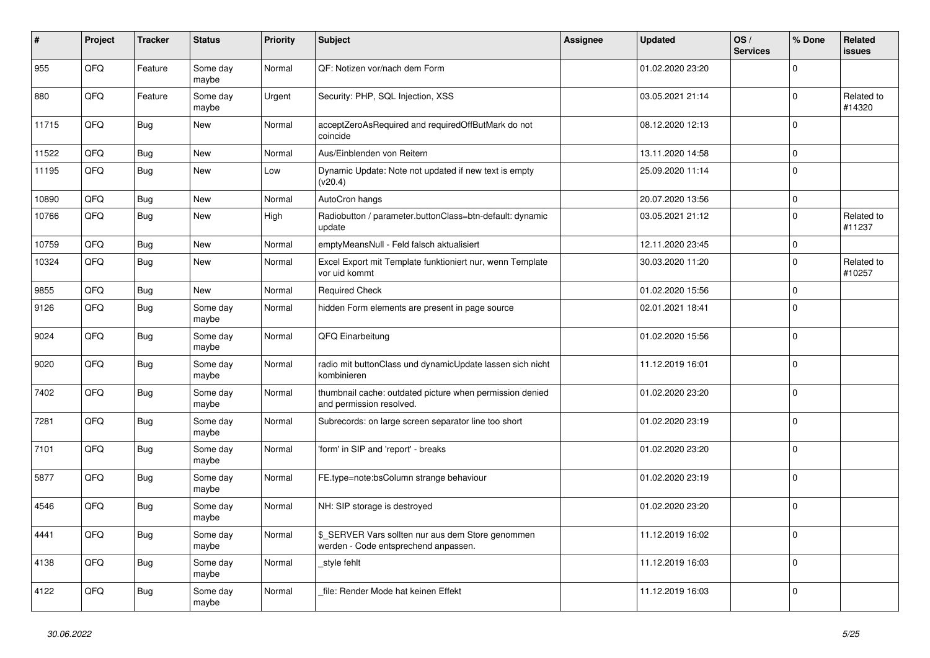| #     | Project | <b>Tracker</b> | <b>Status</b>     | <b>Priority</b> | <b>Subject</b>                                                                            | Assignee | <b>Updated</b>   | OS/<br><b>Services</b> | % Done       | Related<br><b>issues</b> |
|-------|---------|----------------|-------------------|-----------------|-------------------------------------------------------------------------------------------|----------|------------------|------------------------|--------------|--------------------------|
| 955   | QFQ     | Feature        | Some day<br>maybe | Normal          | QF: Notizen vor/nach dem Form                                                             |          | 01.02.2020 23:20 |                        | $\Omega$     |                          |
| 880   | QFQ     | Feature        | Some day<br>maybe | Urgent          | Security: PHP, SQL Injection, XSS                                                         |          | 03.05.2021 21:14 |                        | $\mathbf 0$  | Related to<br>#14320     |
| 11715 | QFQ     | <b>Bug</b>     | <b>New</b>        | Normal          | acceptZeroAsRequired and requiredOffButMark do not<br>coincide                            |          | 08.12.2020 12:13 |                        | $\Omega$     |                          |
| 11522 | QFQ     | Bug            | <b>New</b>        | Normal          | Aus/Einblenden von Reitern                                                                |          | 13.11.2020 14:58 |                        | $\mathbf 0$  |                          |
| 11195 | QFQ     | Bug            | New               | Low             | Dynamic Update: Note not updated if new text is empty<br>(v20.4)                          |          | 25.09.2020 11:14 |                        | $\Omega$     |                          |
| 10890 | QFQ     | Bug            | New               | Normal          | AutoCron hangs                                                                            |          | 20.07.2020 13:56 |                        | $\mathbf 0$  |                          |
| 10766 | QFQ     | <b>Bug</b>     | New               | High            | Radiobutton / parameter.buttonClass=btn-default: dynamic<br>update                        |          | 03.05.2021 21:12 |                        | $\mathbf 0$  | Related to<br>#11237     |
| 10759 | QFQ     | Bug            | <b>New</b>        | Normal          | emptyMeansNull - Feld falsch aktualisiert                                                 |          | 12.11.2020 23:45 |                        | $\mathbf 0$  |                          |
| 10324 | QFQ     | <b>Bug</b>     | <b>New</b>        | Normal          | Excel Export mit Template funktioniert nur, wenn Template<br>vor uid kommt                |          | 30.03.2020 11:20 |                        | $\Omega$     | Related to<br>#10257     |
| 9855  | QFQ     | Bug            | <b>New</b>        | Normal          | <b>Required Check</b>                                                                     |          | 01.02.2020 15:56 |                        | $\mathbf 0$  |                          |
| 9126  | QFQ     | <b>Bug</b>     | Some day<br>maybe | Normal          | hidden Form elements are present in page source                                           |          | 02.01.2021 18:41 |                        | $\mathbf 0$  |                          |
| 9024  | QFQ     | <b>Bug</b>     | Some day<br>maybe | Normal          | QFQ Einarbeitung                                                                          |          | 01.02.2020 15:56 |                        | $\mathbf 0$  |                          |
| 9020  | QFQ     | <b>Bug</b>     | Some day<br>maybe | Normal          | radio mit buttonClass und dynamicUpdate lassen sich nicht<br>kombinieren                  |          | 11.12.2019 16:01 |                        | $\Omega$     |                          |
| 7402  | QFQ     | Bug            | Some day<br>maybe | Normal          | thumbnail cache: outdated picture when permission denied<br>and permission resolved.      |          | 01.02.2020 23:20 |                        | $\mathbf{0}$ |                          |
| 7281  | QFQ     | <b>Bug</b>     | Some day<br>maybe | Normal          | Subrecords: on large screen separator line too short                                      |          | 01.02.2020 23:19 |                        | $\mathbf 0$  |                          |
| 7101  | QFQ     | <b>Bug</b>     | Some day<br>maybe | Normal          | form' in SIP and 'report' - breaks                                                        |          | 01.02.2020 23:20 |                        | $\Omega$     |                          |
| 5877  | QFQ     | <b>Bug</b>     | Some day<br>maybe | Normal          | FE.type=note:bsColumn strange behaviour                                                   |          | 01.02.2020 23:19 |                        | $\Omega$     |                          |
| 4546  | QFQ     | <b>Bug</b>     | Some day<br>maybe | Normal          | NH: SIP storage is destroyed                                                              |          | 01.02.2020 23:20 |                        | $\pmb{0}$    |                          |
| 4441  | QFQ     | <b>Bug</b>     | Some day<br>maybe | Normal          | \$_SERVER Vars sollten nur aus dem Store genommen<br>werden - Code entsprechend anpassen. |          | 11.12.2019 16:02 |                        | $\Omega$     |                          |
| 4138  | QFQ     | <b>Bug</b>     | Some day<br>maybe | Normal          | style fehlt                                                                               |          | 11.12.2019 16:03 |                        | $\mathbf 0$  |                          |
| 4122  | QFQ     | Bug            | Some day<br>maybe | Normal          | file: Render Mode hat keinen Effekt                                                       |          | 11.12.2019 16:03 |                        | $\mathbf 0$  |                          |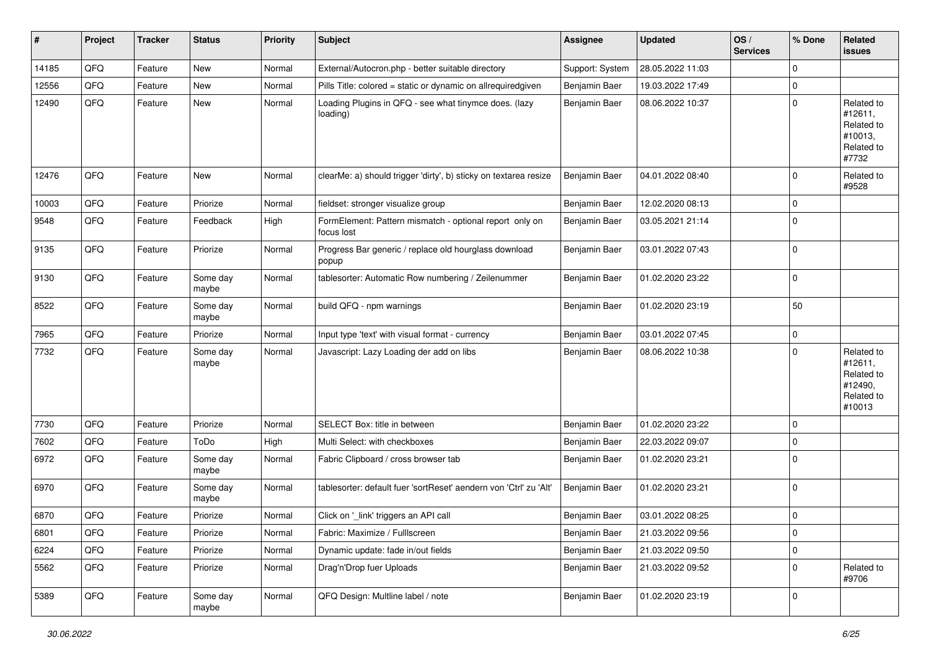| ∦     | Project | <b>Tracker</b> | <b>Status</b>     | <b>Priority</b> | <b>Subject</b>                                                        | Assignee        | <b>Updated</b>   | OS/<br><b>Services</b> | % Done      | Related<br>issues                                                      |
|-------|---------|----------------|-------------------|-----------------|-----------------------------------------------------------------------|-----------------|------------------|------------------------|-------------|------------------------------------------------------------------------|
| 14185 | QFQ     | Feature        | <b>New</b>        | Normal          | External/Autocron.php - better suitable directory                     | Support: System | 28.05.2022 11:03 |                        | $\Omega$    |                                                                        |
| 12556 | QFQ     | Feature        | New               | Normal          | Pills Title: colored = static or dynamic on allrequiredgiven          | Benjamin Baer   | 19.03.2022 17:49 |                        | 0           |                                                                        |
| 12490 | QFQ     | Feature        | New               | Normal          | Loading Plugins in QFQ - see what tinymce does. (lazy<br>loading)     | Benjamin Baer   | 08.06.2022 10:37 |                        | $\Omega$    | Related to<br>#12611,<br>Related to<br>#10013,<br>Related to<br>#7732  |
| 12476 | QFQ     | Feature        | New               | Normal          | clearMe: a) should trigger 'dirty', b) sticky on textarea resize      | Benjamin Baer   | 04.01.2022 08:40 |                        | $\Omega$    | Related to<br>#9528                                                    |
| 10003 | QFQ     | Feature        | Priorize          | Normal          | fieldset: stronger visualize group                                    | Benjamin Baer   | 12.02.2020 08:13 |                        | 0           |                                                                        |
| 9548  | QFQ     | Feature        | Feedback          | High            | FormElement: Pattern mismatch - optional report only on<br>focus lost | Benjamin Baer   | 03.05.2021 21:14 |                        | 0           |                                                                        |
| 9135  | QFQ     | Feature        | Priorize          | Normal          | Progress Bar generic / replace old hourglass download<br>popup        | Benjamin Baer   | 03.01.2022 07:43 |                        | $\mathbf 0$ |                                                                        |
| 9130  | QFQ     | Feature        | Some day<br>maybe | Normal          | tablesorter: Automatic Row numbering / Zeilenummer                    | Benjamin Baer   | 01.02.2020 23:22 |                        | 0           |                                                                        |
| 8522  | QFQ     | Feature        | Some day<br>maybe | Normal          | build QFQ - npm warnings                                              | Benjamin Baer   | 01.02.2020 23:19 |                        | 50          |                                                                        |
| 7965  | QFQ     | Feature        | Priorize          | Normal          | Input type 'text' with visual format - currency                       | Benjamin Baer   | 03.01.2022 07:45 |                        | 0           |                                                                        |
| 7732  | QFQ     | Feature        | Some day<br>maybe | Normal          | Javascript: Lazy Loading der add on libs                              | Benjamin Baer   | 08.06.2022 10:38 |                        | $\Omega$    | Related to<br>#12611,<br>Related to<br>#12490,<br>Related to<br>#10013 |
| 7730  | QFQ     | Feature        | Priorize          | Normal          | SELECT Box: title in between                                          | Benjamin Baer   | 01.02.2020 23:22 |                        | 0           |                                                                        |
| 7602  | QFQ     | Feature        | ToDo              | High            | Multi Select: with checkboxes                                         | Benjamin Baer   | 22.03.2022 09:07 |                        | 0           |                                                                        |
| 6972  | QFQ     | Feature        | Some day<br>maybe | Normal          | Fabric Clipboard / cross browser tab                                  | Benjamin Baer   | 01.02.2020 23:21 |                        | $\Omega$    |                                                                        |
| 6970  | QFQ     | Feature        | Some day<br>maybe | Normal          | tablesorter: default fuer 'sortReset' aendern von 'Ctrl' zu 'Alt'     | Benjamin Baer   | 01.02.2020 23:21 |                        | 0           |                                                                        |
| 6870  | QFQ     | Feature        | Priorize          | Normal          | Click on '_link' triggers an API call                                 | Benjamin Baer   | 03.01.2022 08:25 |                        | 0           |                                                                        |
| 6801  | QFQ     | Feature        | Priorize          | Normal          | Fabric: Maximize / FullIscreen                                        | Benjamin Baer   | 21.03.2022 09:56 |                        | 0           |                                                                        |
| 6224  | QFQ     | Feature        | Priorize          | Normal          | Dynamic update: fade in/out fields                                    | Benjamin Baer   | 21.03.2022 09:50 |                        | 0           |                                                                        |
| 5562  | QFQ     | Feature        | Priorize          | Normal          | Drag'n'Drop fuer Uploads                                              | Benjamin Baer   | 21.03.2022 09:52 |                        | 0           | Related to<br>#9706                                                    |
| 5389  | QFQ     | Feature        | Some day<br>maybe | Normal          | QFQ Design: Multline label / note                                     | Benjamin Baer   | 01.02.2020 23:19 |                        | 0           |                                                                        |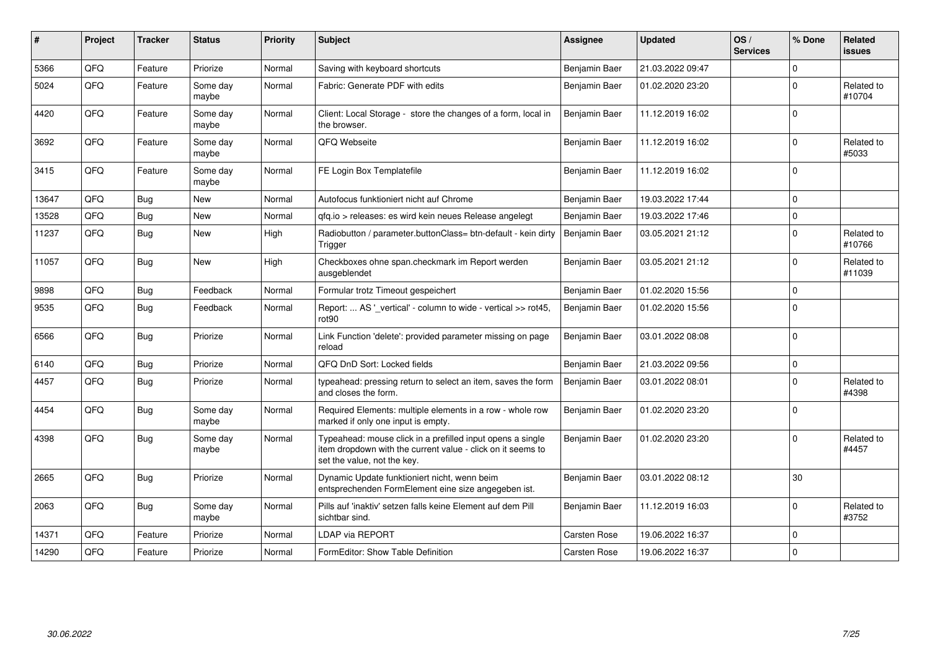| #     | Project    | <b>Tracker</b> | <b>Status</b>     | <b>Priority</b> | <b>Subject</b>                                                                                                                                           | Assignee      | <b>Updated</b>   | OS/<br><b>Services</b> | % Done       | Related<br><b>issues</b> |
|-------|------------|----------------|-------------------|-----------------|----------------------------------------------------------------------------------------------------------------------------------------------------------|---------------|------------------|------------------------|--------------|--------------------------|
| 5366  | QFQ        | Feature        | Priorize          | Normal          | Saving with keyboard shortcuts                                                                                                                           | Benjamin Baer | 21.03.2022 09:47 |                        | $\Omega$     |                          |
| 5024  | QFQ        | Feature        | Some day<br>maybe | Normal          | Fabric: Generate PDF with edits                                                                                                                          | Benjamin Baer | 01.02.2020 23:20 |                        | $\mathbf{0}$ | Related to<br>#10704     |
| 4420  | QFQ        | Feature        | Some day<br>maybe | Normal          | Client: Local Storage - store the changes of a form, local in<br>the browser.                                                                            | Benjamin Baer | 11.12.2019 16:02 |                        | $\Omega$     |                          |
| 3692  | QFQ        | Feature        | Some day<br>maybe | Normal          | QFQ Webseite                                                                                                                                             | Benjamin Baer | 11.12.2019 16:02 |                        | $\Omega$     | Related to<br>#5033      |
| 3415  | QFQ        | Feature        | Some day<br>maybe | Normal          | FE Login Box Templatefile                                                                                                                                | Benjamin Baer | 11.12.2019 16:02 |                        | $\Omega$     |                          |
| 13647 | QFQ        | Bug            | <b>New</b>        | Normal          | Autofocus funktioniert nicht auf Chrome                                                                                                                  | Benjamin Baer | 19.03.2022 17:44 |                        | $\Omega$     |                          |
| 13528 | QFQ        | <b>Bug</b>     | New               | Normal          | qfq.io > releases: es wird kein neues Release angelegt                                                                                                   | Benjamin Baer | 19.03.2022 17:46 |                        | $\Omega$     |                          |
| 11237 | QFQ        | Bug            | New               | High            | Radiobutton / parameter.buttonClass= btn-default - kein dirty<br>Trigger                                                                                 | Benjamin Baer | 03.05.2021 21:12 |                        | $\Omega$     | Related to<br>#10766     |
| 11057 | QFQ        | Bug            | <b>New</b>        | High            | Checkboxes ohne span.checkmark im Report werden<br>ausgeblendet                                                                                          | Benjamin Baer | 03.05.2021 21:12 |                        | $\Omega$     | Related to<br>#11039     |
| 9898  | QFQ        | <b>Bug</b>     | Feedback          | Normal          | Formular trotz Timeout gespeichert                                                                                                                       | Benjamin Baer | 01.02.2020 15:56 |                        | $\mathbf 0$  |                          |
| 9535  | QFQ        | <b>Bug</b>     | Feedback          | Normal          | Report:  AS '_vertical' - column to wide - vertical >> rot45,<br>rot90                                                                                   | Benjamin Baer | 01.02.2020 15:56 |                        | $\Omega$     |                          |
| 6566  | QFQ        | Bug            | Priorize          | Normal          | Link Function 'delete': provided parameter missing on page<br>reload                                                                                     | Benjamin Baer | 03.01.2022 08:08 |                        | $\Omega$     |                          |
| 6140  | QFQ        | <b>Bug</b>     | Priorize          | Normal          | QFQ DnD Sort: Locked fields                                                                                                                              | Benjamin Baer | 21.03.2022 09:56 |                        | $\Omega$     |                          |
| 4457  | QFQ        | Bug            | Priorize          | Normal          | typeahead: pressing return to select an item, saves the form<br>and closes the form.                                                                     | Benjamin Baer | 03.01.2022 08:01 |                        | $\Omega$     | Related to<br>#4398      |
| 4454  | <b>OFO</b> | <b>Bug</b>     | Some day<br>maybe | Normal          | Required Elements: multiple elements in a row - whole row<br>marked if only one input is empty.                                                          | Benjamin Baer | 01.02.2020 23:20 |                        | ١o           |                          |
| 4398  | QFQ        | Bug            | Some day<br>maybe | Normal          | Typeahead: mouse click in a prefilled input opens a single<br>item dropdown with the current value - click on it seems to<br>set the value, not the key. | Benjamin Baer | 01.02.2020 23:20 |                        | $\Omega$     | Related to<br>#4457      |
| 2665  | QFQ        | Bug            | Priorize          | Normal          | Dynamic Update funktioniert nicht, wenn beim<br>entsprechenden FormElement eine size angegeben ist.                                                      | Benjamin Baer | 03.01.2022 08:12 |                        | 30           |                          |
| 2063  | QFQ        | <b>Bug</b>     | Some day<br>maybe | Normal          | Pills auf 'inaktiv' setzen falls keine Element auf dem Pill<br>sichtbar sind.                                                                            | Benjamin Baer | 11.12.2019 16:03 |                        | $\Omega$     | Related to<br>#3752      |
| 14371 | QFQ        | Feature        | Priorize          | Normal          | LDAP via REPORT                                                                                                                                          | Carsten Rose  | 19.06.2022 16:37 |                        | $\mathbf{0}$ |                          |
| 14290 | QFQ        | Feature        | Priorize          | Normal          | FormEditor: Show Table Definition                                                                                                                        | Carsten Rose  | 19.06.2022 16:37 |                        | $\Omega$     |                          |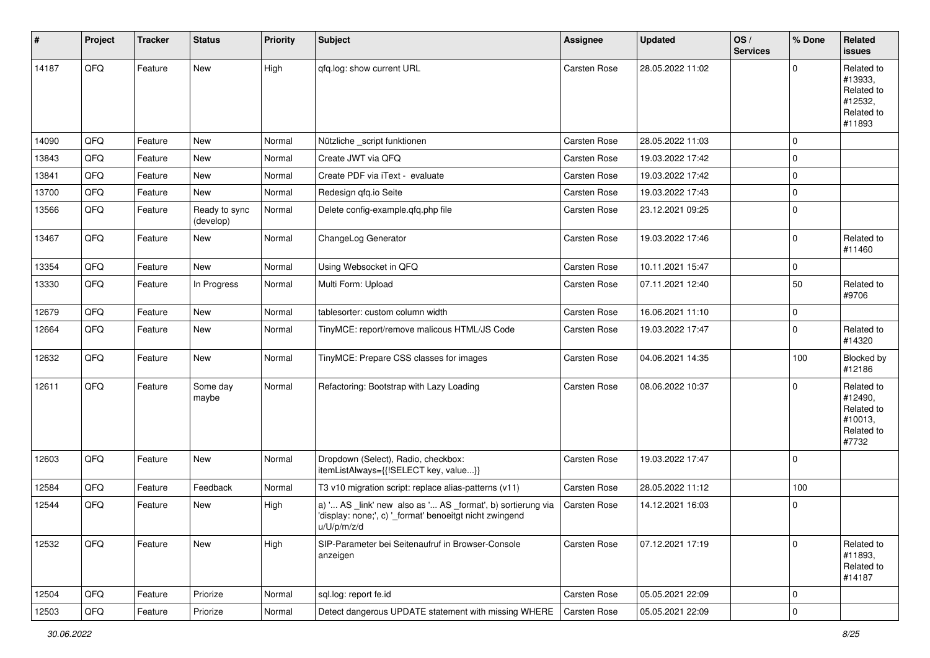| $\vert$ # | Project | <b>Tracker</b> | <b>Status</b>              | <b>Priority</b> | <b>Subject</b>                                                                                                                        | <b>Assignee</b>     | <b>Updated</b>   | OS/<br><b>Services</b> | % Done         | Related<br><b>issues</b>                                               |
|-----------|---------|----------------|----------------------------|-----------------|---------------------------------------------------------------------------------------------------------------------------------------|---------------------|------------------|------------------------|----------------|------------------------------------------------------------------------|
| 14187     | QFQ     | Feature        | <b>New</b>                 | High            | qfq.log: show current URL                                                                                                             | Carsten Rose        | 28.05.2022 11:02 |                        | $\Omega$       | Related to<br>#13933,<br>Related to<br>#12532,<br>Related to<br>#11893 |
| 14090     | QFQ     | Feature        | <b>New</b>                 | Normal          | Nützliche _script funktionen                                                                                                          | <b>Carsten Rose</b> | 28.05.2022 11:03 |                        | $\mathbf 0$    |                                                                        |
| 13843     | QFQ     | Feature        | <b>New</b>                 | Normal          | Create JWT via QFQ                                                                                                                    | <b>Carsten Rose</b> | 19.03.2022 17:42 |                        | $\Omega$       |                                                                        |
| 13841     | QFQ     | Feature        | <b>New</b>                 | Normal          | Create PDF via iText - evaluate                                                                                                       | Carsten Rose        | 19.03.2022 17:42 |                        | $\mathbf 0$    |                                                                        |
| 13700     | QFQ     | Feature        | <b>New</b>                 | Normal          | Redesign qfq.io Seite                                                                                                                 | <b>Carsten Rose</b> | 19.03.2022 17:43 |                        | $\mathbf 0$    |                                                                        |
| 13566     | QFQ     | Feature        | Ready to sync<br>(develop) | Normal          | Delete config-example.qfq.php file                                                                                                    | Carsten Rose        | 23.12.2021 09:25 |                        | $\mathbf 0$    |                                                                        |
| 13467     | QFQ     | Feature        | New                        | Normal          | ChangeLog Generator                                                                                                                   | Carsten Rose        | 19.03.2022 17:46 |                        | $\mathbf 0$    | Related to<br>#11460                                                   |
| 13354     | QFQ     | Feature        | New                        | Normal          | Using Websocket in QFQ                                                                                                                | <b>Carsten Rose</b> | 10.11.2021 15:47 |                        | $\mathbf 0$    |                                                                        |
| 13330     | QFQ     | Feature        | In Progress                | Normal          | Multi Form: Upload                                                                                                                    | Carsten Rose        | 07.11.2021 12:40 |                        | 50             | Related to<br>#9706                                                    |
| 12679     | QFQ     | Feature        | New                        | Normal          | tablesorter: custom column width                                                                                                      | <b>Carsten Rose</b> | 16.06.2021 11:10 |                        | $\overline{0}$ |                                                                        |
| 12664     | QFQ     | Feature        | New                        | Normal          | TinyMCE: report/remove malicous HTML/JS Code                                                                                          | Carsten Rose        | 19.03.2022 17:47 |                        | $\Omega$       | Related to<br>#14320                                                   |
| 12632     | QFQ     | Feature        | New                        | Normal          | TinyMCE: Prepare CSS classes for images                                                                                               | Carsten Rose        | 04.06.2021 14:35 |                        | 100            | Blocked by<br>#12186                                                   |
| 12611     | QFQ     | Feature        | Some day<br>maybe          | Normal          | Refactoring: Bootstrap with Lazy Loading                                                                                              | Carsten Rose        | 08.06.2022 10:37 |                        | $\Omega$       | Related to<br>#12490,<br>Related to<br>#10013,<br>Related to<br>#7732  |
| 12603     | QFQ     | Feature        | New                        | Normal          | Dropdown (Select), Radio, checkbox:<br>itemListAlways={{!SELECT key, value}}                                                          | <b>Carsten Rose</b> | 19.03.2022 17:47 |                        | $\mathbf 0$    |                                                                        |
| 12584     | QFQ     | Feature        | Feedback                   | Normal          | T3 v10 migration script: replace alias-patterns (v11)                                                                                 | <b>Carsten Rose</b> | 28.05.2022 11:12 |                        | 100            |                                                                        |
| 12544     | QFQ     | Feature        | <b>New</b>                 | High            | a) ' AS _link' new also as ' AS _format', b) sortierung via<br>'display: none;', c) '_format' benoeitgt nicht zwingend<br>u/U/p/m/z/d | Carsten Rose        | 14.12.2021 16:03 |                        | 0              |                                                                        |
| 12532     | QFQ     | Feature        | New                        | High            | SIP-Parameter bei Seitenaufruf in Browser-Console<br>anzeigen                                                                         | Carsten Rose        | 07.12.2021 17:19 |                        | $\Omega$       | Related to<br>#11893,<br>Related to<br>#14187                          |
| 12504     | QFQ     | Feature        | Priorize                   | Normal          | sql.log: report fe.id                                                                                                                 | Carsten Rose        | 05.05.2021 22:09 |                        | $\mathbf 0$    |                                                                        |
| 12503     | QFQ     | Feature        | Priorize                   | Normal          | Detect dangerous UPDATE statement with missing WHERE                                                                                  | Carsten Rose        | 05.05.2021 22:09 |                        | $\mathbf 0$    |                                                                        |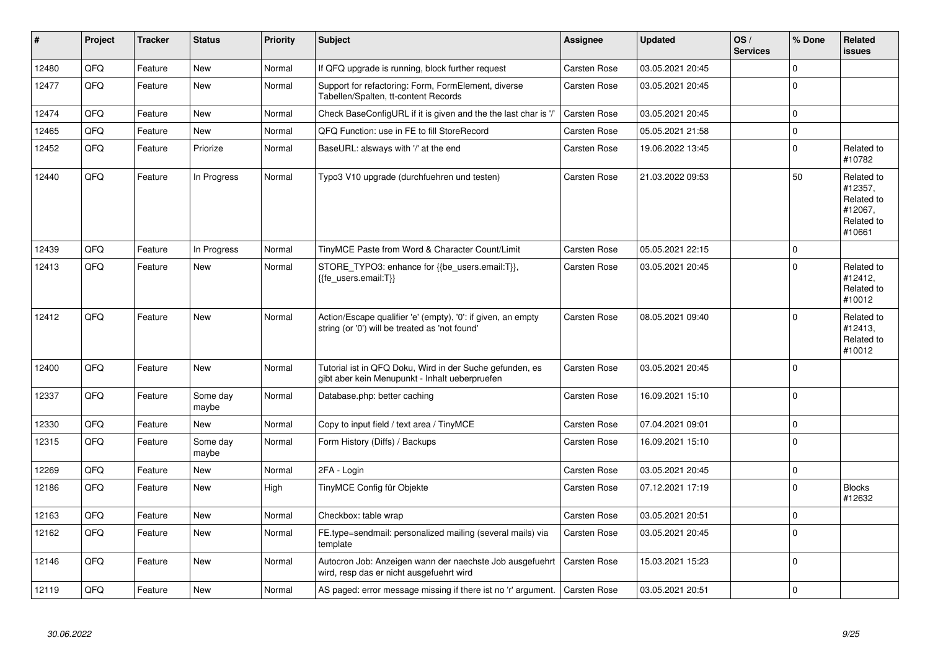| #     | Project | <b>Tracker</b> | <b>Status</b>     | <b>Priority</b> | <b>Subject</b>                                                                                                 | <b>Assignee</b>     | <b>Updated</b>   | OS/<br><b>Services</b> | % Done      | Related<br><b>issues</b>                                               |
|-------|---------|----------------|-------------------|-----------------|----------------------------------------------------------------------------------------------------------------|---------------------|------------------|------------------------|-------------|------------------------------------------------------------------------|
| 12480 | QFQ     | Feature        | <b>New</b>        | Normal          | If QFQ upgrade is running, block further request                                                               | Carsten Rose        | 03.05.2021 20:45 |                        | $\Omega$    |                                                                        |
| 12477 | QFQ     | Feature        | New               | Normal          | Support for refactoring: Form, FormElement, diverse<br>Tabellen/Spalten, tt-content Records                    | Carsten Rose        | 03.05.2021 20:45 |                        | $\mathbf 0$ |                                                                        |
| 12474 | QFQ     | Feature        | <b>New</b>        | Normal          | Check BaseConfigURL if it is given and the the last char is '/'                                                | Carsten Rose        | 03.05.2021 20:45 |                        | $\Omega$    |                                                                        |
| 12465 | QFQ     | Feature        | New               | Normal          | QFQ Function: use in FE to fill StoreRecord                                                                    | Carsten Rose        | 05.05.2021 21:58 |                        | 0           |                                                                        |
| 12452 | QFQ     | Feature        | Priorize          | Normal          | BaseURL: alsways with '/' at the end                                                                           | Carsten Rose        | 19.06.2022 13:45 |                        | $\mathbf 0$ | Related to<br>#10782                                                   |
| 12440 | QFQ     | Feature        | In Progress       | Normal          | Typo3 V10 upgrade (durchfuehren und testen)                                                                    | Carsten Rose        | 21.03.2022 09:53 |                        | 50          | Related to<br>#12357,<br>Related to<br>#12067,<br>Related to<br>#10661 |
| 12439 | QFQ     | Feature        | In Progress       | Normal          | TinyMCE Paste from Word & Character Count/Limit                                                                | Carsten Rose        | 05.05.2021 22:15 |                        | $\mathbf 0$ |                                                                        |
| 12413 | QFQ     | Feature        | <b>New</b>        | Normal          | STORE_TYPO3: enhance for {{be_users.email:T}},<br>{{fe users.email:T}}                                         | Carsten Rose        | 03.05.2021 20:45 |                        | $\Omega$    | Related to<br>#12412,<br>Related to<br>#10012                          |
| 12412 | QFQ     | Feature        | New               | Normal          | Action/Escape qualifier 'e' (empty), '0': if given, an empty<br>string (or '0') will be treated as 'not found' | <b>Carsten Rose</b> | 08.05.2021 09:40 |                        | $\mathbf 0$ | Related to<br>#12413,<br>Related to<br>#10012                          |
| 12400 | QFQ     | Feature        | <b>New</b>        | Normal          | Tutorial ist in QFQ Doku, Wird in der Suche gefunden, es<br>gibt aber kein Menupunkt - Inhalt ueberpruefen     | Carsten Rose        | 03.05.2021 20:45 |                        | $\mathbf 0$ |                                                                        |
| 12337 | QFQ     | Feature        | Some day<br>maybe | Normal          | Database.php: better caching                                                                                   | Carsten Rose        | 16.09.2021 15:10 |                        | $\Omega$    |                                                                        |
| 12330 | QFQ     | Feature        | <b>New</b>        | Normal          | Copy to input field / text area / TinyMCE                                                                      | <b>Carsten Rose</b> | 07.04.2021 09:01 |                        | $\mathbf 0$ |                                                                        |
| 12315 | QFQ     | Feature        | Some day<br>maybe | Normal          | Form History (Diffs) / Backups                                                                                 | Carsten Rose        | 16.09.2021 15:10 |                        | $\Omega$    |                                                                        |
| 12269 | QFQ     | Feature        | <b>New</b>        | Normal          | 2FA - Login                                                                                                    | <b>Carsten Rose</b> | 03.05.2021 20:45 |                        | $\mathbf 0$ |                                                                        |
| 12186 | QFQ     | Feature        | New               | High            | TinyMCE Config für Objekte                                                                                     | Carsten Rose        | 07.12.2021 17:19 |                        | $\Omega$    | <b>Blocks</b><br>#12632                                                |
| 12163 | QFQ     | Feature        | <b>New</b>        | Normal          | Checkbox: table wrap                                                                                           | <b>Carsten Rose</b> | 03.05.2021 20:51 |                        | $\mathbf 0$ |                                                                        |
| 12162 | QFQ     | Feature        | New               | Normal          | FE.type=sendmail: personalized mailing (several mails) via<br>template                                         | Carsten Rose        | 03.05.2021 20:45 |                        | $\Omega$    |                                                                        |
| 12146 | QFQ     | Feature        | <b>New</b>        | Normal          | Autocron Job: Anzeigen wann der naechste Job ausgefuehrt<br>wird, resp das er nicht ausgefuehrt wird           | Carsten Rose        | 15.03.2021 15:23 |                        | $\mathbf 0$ |                                                                        |
| 12119 | QFQ     | Feature        | New               | Normal          | AS paged: error message missing if there ist no 'r' argument.                                                  | Carsten Rose        | 03.05.2021 20:51 |                        | $\mathbf 0$ |                                                                        |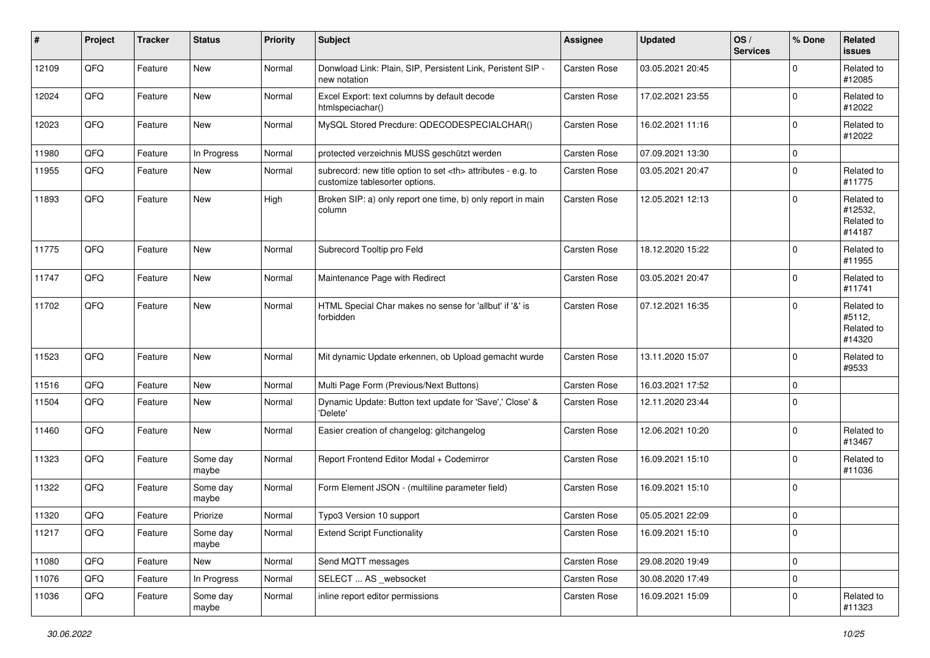| ∦     | Project | <b>Tracker</b> | <b>Status</b>     | <b>Priority</b> | Subject                                                                                              | <b>Assignee</b>                                        | <b>Updated</b>   | OS/<br><b>Services</b> | % Done      | Related<br><b>issues</b>                      |                      |
|-------|---------|----------------|-------------------|-----------------|------------------------------------------------------------------------------------------------------|--------------------------------------------------------|------------------|------------------------|-------------|-----------------------------------------------|----------------------|
| 12109 | QFQ     | Feature        | New               | Normal          | Donwload Link: Plain, SIP, Persistent Link, Peristent SIP -<br>new notation                          | Carsten Rose                                           | 03.05.2021 20:45 |                        | $\Omega$    | Related to<br>#12085                          |                      |
| 12024 | QFQ     | Feature        | New               | Normal          | Excel Export: text columns by default decode<br>htmlspeciachar()                                     | Carsten Rose                                           | 17.02.2021 23:55 |                        | $\mathbf 0$ | Related to<br>#12022                          |                      |
| 12023 | QFQ     | Feature        | New               | Normal          | MySQL Stored Precdure: QDECODESPECIALCHAR()                                                          | Carsten Rose                                           | 16.02.2021 11:16 |                        | $\mathbf 0$ | Related to<br>#12022                          |                      |
| 11980 | QFQ     | Feature        | In Progress       | Normal          | protected verzeichnis MUSS geschützt werden                                                          | Carsten Rose                                           | 07.09.2021 13:30 |                        | 0           |                                               |                      |
| 11955 | QFQ     | Feature        | New               | Normal          | subrecord: new title option to set <th> attributes - e.g. to<br/>customize tablesorter options.</th> | attributes - e.g. to<br>customize tablesorter options. | Carsten Rose     | 03.05.2021 20:47       |             | $\mathbf 0$                                   | Related to<br>#11775 |
| 11893 | QFQ     | Feature        | New               | High            | Broken SIP: a) only report one time, b) only report in main<br>column                                | Carsten Rose                                           | 12.05.2021 12:13 |                        | $\mathbf 0$ | Related to<br>#12532,<br>Related to<br>#14187 |                      |
| 11775 | QFQ     | Feature        | New               | Normal          | Subrecord Tooltip pro Feld                                                                           | Carsten Rose                                           | 18.12.2020 15:22 |                        | $\Omega$    | Related to<br>#11955                          |                      |
| 11747 | QFQ     | Feature        | New               | Normal          | Maintenance Page with Redirect                                                                       | Carsten Rose                                           | 03.05.2021 20:47 |                        | $\mathbf 0$ | Related to<br>#11741                          |                      |
| 11702 | QFQ     | Feature        | New               | Normal          | HTML Special Char makes no sense for 'allbut' if '&' is<br>forbidden                                 | Carsten Rose                                           | 07.12.2021 16:35 |                        | $\Omega$    | Related to<br>#5112,<br>Related to<br>#14320  |                      |
| 11523 | QFQ     | Feature        | New               | Normal          | Mit dynamic Update erkennen, ob Upload gemacht wurde                                                 | Carsten Rose                                           | 13.11.2020 15:07 |                        | $\mathbf 0$ | Related to<br>#9533                           |                      |
| 11516 | QFQ     | Feature        | New               | Normal          | Multi Page Form (Previous/Next Buttons)                                                              | Carsten Rose                                           | 16.03.2021 17:52 |                        | 0           |                                               |                      |
| 11504 | QFQ     | Feature        | New               | Normal          | Dynamic Update: Button text update for 'Save',' Close' &<br>'Delete'                                 | Carsten Rose                                           | 12.11.2020 23:44 |                        | $\Omega$    |                                               |                      |
| 11460 | QFQ     | Feature        | New               | Normal          | Easier creation of changelog: gitchangelog                                                           | Carsten Rose                                           | 12.06.2021 10:20 |                        | $\mathbf 0$ | Related to<br>#13467                          |                      |
| 11323 | QFQ     | Feature        | Some day<br>maybe | Normal          | Report Frontend Editor Modal + Codemirror                                                            | Carsten Rose                                           | 16.09.2021 15:10 |                        | $\mathbf 0$ | Related to<br>#11036                          |                      |
| 11322 | QFQ     | Feature        | Some day<br>maybe | Normal          | Form Element JSON - (multiline parameter field)                                                      | Carsten Rose                                           | 16.09.2021 15:10 |                        | $\mathbf 0$ |                                               |                      |
| 11320 | QFQ     | Feature        | Priorize          | Normal          | Typo3 Version 10 support                                                                             | Carsten Rose                                           | 05.05.2021 22:09 |                        | $\mathbf 0$ |                                               |                      |
| 11217 | QFQ     | Feature        | Some day<br>maybe | Normal          | <b>Extend Script Functionality</b>                                                                   | Carsten Rose                                           | 16.09.2021 15:10 |                        | 0           |                                               |                      |
| 11080 | QFQ     | Feature        | New               | Normal          | Send MQTT messages                                                                                   | Carsten Rose                                           | 29.08.2020 19:49 |                        | $\mathbf 0$ |                                               |                      |
| 11076 | QFQ     | Feature        | In Progress       | Normal          | SELECT  AS _websocket                                                                                | Carsten Rose                                           | 30.08.2020 17:49 |                        | $\mathbf 0$ |                                               |                      |
| 11036 | QFQ     | Feature        | Some day<br>maybe | Normal          | inline report editor permissions                                                                     | Carsten Rose                                           | 16.09.2021 15:09 |                        | 0           | Related to<br>#11323                          |                      |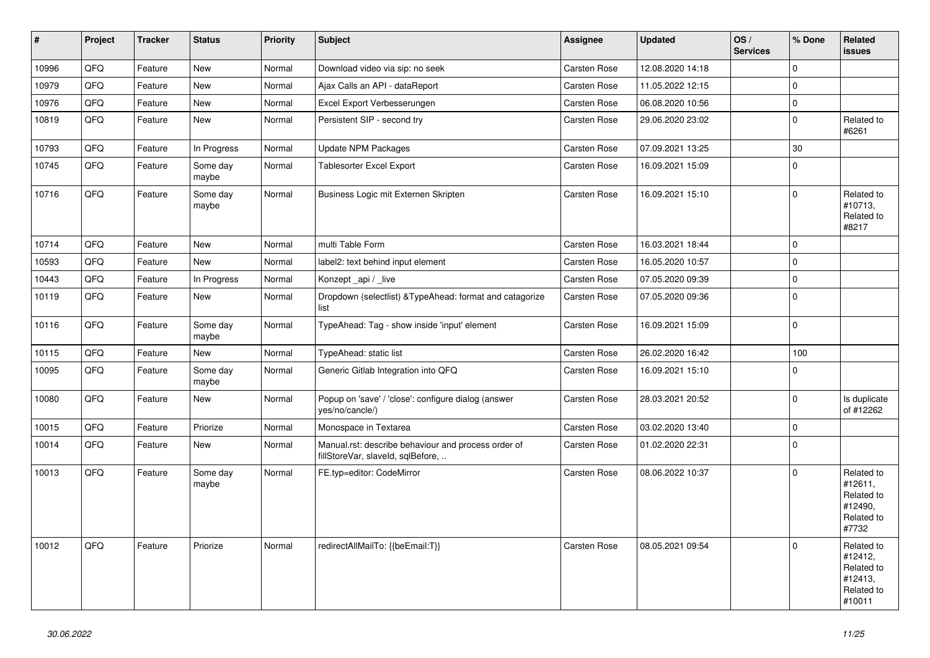| $\vert$ # | Project | <b>Tracker</b> | <b>Status</b>     | <b>Priority</b> | <b>Subject</b>                                                                           | Assignee            | <b>Updated</b>   | OS/<br><b>Services</b> | % Done      | Related<br><b>issues</b>                                               |
|-----------|---------|----------------|-------------------|-----------------|------------------------------------------------------------------------------------------|---------------------|------------------|------------------------|-------------|------------------------------------------------------------------------|
| 10996     | QFQ     | Feature        | <b>New</b>        | Normal          | Download video via sip: no seek                                                          | Carsten Rose        | 12.08.2020 14:18 |                        | $\Omega$    |                                                                        |
| 10979     | QFQ     | Feature        | <b>New</b>        | Normal          | Ajax Calls an API - dataReport                                                           | Carsten Rose        | 11.05.2022 12:15 |                        | $\mathbf 0$ |                                                                        |
| 10976     | QFQ     | Feature        | New               | Normal          | Excel Export Verbesserungen                                                              | Carsten Rose        | 06.08.2020 10:56 |                        | $\mathbf 0$ |                                                                        |
| 10819     | QFQ     | Feature        | New               | Normal          | Persistent SIP - second try                                                              | <b>Carsten Rose</b> | 29.06.2020 23:02 |                        | $\mathbf 0$ | Related to<br>#6261                                                    |
| 10793     | QFQ     | Feature        | In Progress       | Normal          | <b>Update NPM Packages</b>                                                               | Carsten Rose        | 07.09.2021 13:25 |                        | 30          |                                                                        |
| 10745     | QFQ     | Feature        | Some day<br>maybe | Normal          | Tablesorter Excel Export                                                                 | Carsten Rose        | 16.09.2021 15:09 |                        | $\Omega$    |                                                                        |
| 10716     | QFQ     | Feature        | Some day<br>maybe | Normal          | Business Logic mit Externen Skripten                                                     | <b>Carsten Rose</b> | 16.09.2021 15:10 |                        | $\Omega$    | Related to<br>#10713,<br>Related to<br>#8217                           |
| 10714     | QFQ     | Feature        | <b>New</b>        | Normal          | multi Table Form                                                                         | <b>Carsten Rose</b> | 16.03.2021 18:44 |                        | $\Omega$    |                                                                        |
| 10593     | QFQ     | Feature        | New               | Normal          | label2: text behind input element                                                        | <b>Carsten Rose</b> | 16.05.2020 10:57 |                        | $\Omega$    |                                                                        |
| 10443     | QFQ     | Feature        | In Progress       | Normal          | Konzept api / live                                                                       | <b>Carsten Rose</b> | 07.05.2020 09:39 |                        | $\mathbf 0$ |                                                                        |
| 10119     | QFQ     | Feature        | New               | Normal          | Dropdown (selectlist) & Type Ahead: format and catagorize<br>list                        | <b>Carsten Rose</b> | 07.05.2020 09:36 |                        | $\mathbf 0$ |                                                                        |
| 10116     | QFQ     | Feature        | Some day<br>maybe | Normal          | TypeAhead: Tag - show inside 'input' element                                             | Carsten Rose        | 16.09.2021 15:09 |                        | $\mathbf 0$ |                                                                        |
| 10115     | QFQ     | Feature        | New               | Normal          | TypeAhead: static list                                                                   | Carsten Rose        | 26.02.2020 16:42 |                        | 100         |                                                                        |
| 10095     | QFQ     | Feature        | Some day<br>maybe | Normal          | Generic Gitlab Integration into QFQ                                                      | Carsten Rose        | 16.09.2021 15:10 |                        | $\Omega$    |                                                                        |
| 10080     | QFQ     | Feature        | New               | Normal          | Popup on 'save' / 'close': configure dialog (answer<br>yes/no/cancle/)                   | <b>Carsten Rose</b> | 28.03.2021 20:52 |                        | $\mathbf 0$ | Is duplicate<br>of #12262                                              |
| 10015     | QFQ     | Feature        | Priorize          | Normal          | Monospace in Textarea                                                                    | Carsten Rose        | 03.02.2020 13:40 |                        | $\mathbf 0$ |                                                                        |
| 10014     | QFQ     | Feature        | New               | Normal          | Manual.rst: describe behaviour and process order of<br>fillStoreVar, slaveId, sqlBefore, | Carsten Rose        | 01.02.2020 22:31 |                        | $\mathbf 0$ |                                                                        |
| 10013     | QFQ     | Feature        | Some day<br>maybe | Normal          | FE.typ=editor: CodeMirror                                                                | Carsten Rose        | 08.06.2022 10:37 |                        | $\Omega$    | Related to<br>#12611,<br>Related to<br>#12490,<br>Related to<br>#7732  |
| 10012     | QFQ     | Feature        | Priorize          | Normal          | redirectAllMailTo: {{beEmail:T}}                                                         | <b>Carsten Rose</b> | 08.05.2021 09:54 |                        | $\Omega$    | Related to<br>#12412,<br>Related to<br>#12413,<br>Related to<br>#10011 |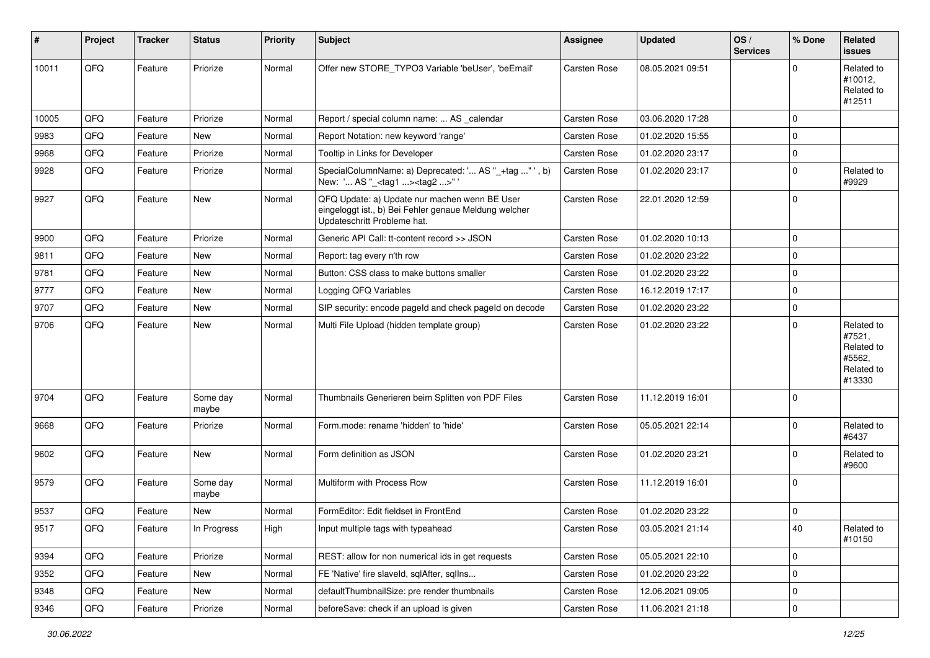| #     | Project | <b>Tracker</b> | <b>Status</b>     | <b>Priority</b> | Subject                                                                                                                               | Assignee            | <b>Updated</b>   | OS/<br><b>Services</b> | % Done         | Related<br><b>issues</b>                                             |
|-------|---------|----------------|-------------------|-----------------|---------------------------------------------------------------------------------------------------------------------------------------|---------------------|------------------|------------------------|----------------|----------------------------------------------------------------------|
| 10011 | QFQ     | Feature        | Priorize          | Normal          | Offer new STORE TYPO3 Variable 'beUser', 'beEmail'                                                                                    | <b>Carsten Rose</b> | 08.05.2021 09:51 |                        | $\Omega$       | Related to<br>#10012,<br>Related to<br>#12511                        |
| 10005 | QFQ     | Feature        | Priorize          | Normal          | Report / special column name:  AS calendar                                                                                            | Carsten Rose        | 03.06.2020 17:28 |                        | $\mathbf 0$    |                                                                      |
| 9983  | QFQ     | Feature        | New               | Normal          | Report Notation: new keyword 'range'                                                                                                  | Carsten Rose        | 01.02.2020 15:55 |                        | 0              |                                                                      |
| 9968  | QFQ     | Feature        | Priorize          | Normal          | Tooltip in Links for Developer                                                                                                        | Carsten Rose        | 01.02.2020 23:17 |                        | $\mathbf 0$    |                                                                      |
| 9928  | QFQ     | Feature        | Priorize          | Normal          | SpecialColumnName: a) Deprecated: ' AS "_+tag " ', b)<br>New: ' AS "_ <tag1><tag2>"</tag2></tag1>                                     | Carsten Rose        | 01.02.2020 23:17 |                        | $\overline{0}$ | Related to<br>#9929                                                  |
| 9927  | QFQ     | Feature        | New               | Normal          | QFQ Update: a) Update nur machen wenn BE User<br>eingeloggt ist., b) Bei Fehler genaue Meldung welcher<br>Updateschritt Probleme hat. | Carsten Rose        | 22.01.2020 12:59 |                        | 0              |                                                                      |
| 9900  | QFQ     | Feature        | Priorize          | Normal          | Generic API Call: tt-content record >> JSON                                                                                           | Carsten Rose        | 01.02.2020 10:13 |                        | $\overline{0}$ |                                                                      |
| 9811  | QFQ     | Feature        | New               | Normal          | Report: tag every n'th row                                                                                                            | Carsten Rose        | 01.02.2020 23:22 |                        | $\mathbf 0$    |                                                                      |
| 9781  | QFQ     | Feature        | New               | Normal          | Button: CSS class to make buttons smaller                                                                                             | Carsten Rose        | 01.02.2020 23:22 |                        | $\mathbf 0$    |                                                                      |
| 9777  | QFQ     | Feature        | New               | Normal          | Logging QFQ Variables                                                                                                                 | Carsten Rose        | 16.12.2019 17:17 |                        | $\mathbf 0$    |                                                                      |
| 9707  | QFQ     | Feature        | New               | Normal          | SIP security: encode pageld and check pageld on decode                                                                                | Carsten Rose        | 01.02.2020 23:22 |                        | 0              |                                                                      |
| 9706  | QFQ     | Feature        | New               | Normal          | Multi File Upload (hidden template group)                                                                                             | Carsten Rose        | 01.02.2020 23:22 |                        | $\mathbf 0$    | Related to<br>#7521,<br>Related to<br>#5562,<br>Related to<br>#13330 |
| 9704  | QFQ     | Feature        | Some day<br>maybe | Normal          | Thumbnails Generieren beim Splitten von PDF Files                                                                                     | Carsten Rose        | 11.12.2019 16:01 |                        | 0              |                                                                      |
| 9668  | QFQ     | Feature        | Priorize          | Normal          | Form.mode: rename 'hidden' to 'hide'                                                                                                  | Carsten Rose        | 05.05.2021 22:14 |                        | $\mathbf 0$    | Related to<br>#6437                                                  |
| 9602  | QFQ     | Feature        | New               | Normal          | Form definition as JSON                                                                                                               | Carsten Rose        | 01.02.2020 23:21 |                        | 0              | Related to<br>#9600                                                  |
| 9579  | QFQ     | Feature        | Some day<br>maybe | Normal          | Multiform with Process Row                                                                                                            | Carsten Rose        | 11.12.2019 16:01 |                        | 0              |                                                                      |
| 9537  | QFQ     | Feature        | New               | Normal          | FormEditor: Edit fieldset in FrontEnd                                                                                                 | Carsten Rose        | 01.02.2020 23:22 |                        | $\overline{0}$ |                                                                      |
| 9517  | QFQ     | Feature        | In Progress       | High            | Input multiple tags with typeahead                                                                                                    | Carsten Rose        | 03.05.2021 21:14 |                        | 40             | Related to<br>#10150                                                 |
| 9394  | QFQ     | Feature        | Priorize          | Normal          | REST: allow for non numerical ids in get requests                                                                                     | Carsten Rose        | 05.05.2021 22:10 |                        | 0              |                                                                      |
| 9352  | QFQ     | Feature        | New               | Normal          | FE 'Native' fire slaveld, sqlAfter, sqlIns                                                                                            | Carsten Rose        | 01.02.2020 23:22 |                        | 0              |                                                                      |
| 9348  | QFQ     | Feature        | New               | Normal          | defaultThumbnailSize: pre render thumbnails                                                                                           | Carsten Rose        | 12.06.2021 09:05 |                        | 0              |                                                                      |
| 9346  | QFQ     | Feature        | Priorize          | Normal          | beforeSave: check if an upload is given                                                                                               | Carsten Rose        | 11.06.2021 21:18 |                        | $\pmb{0}$      |                                                                      |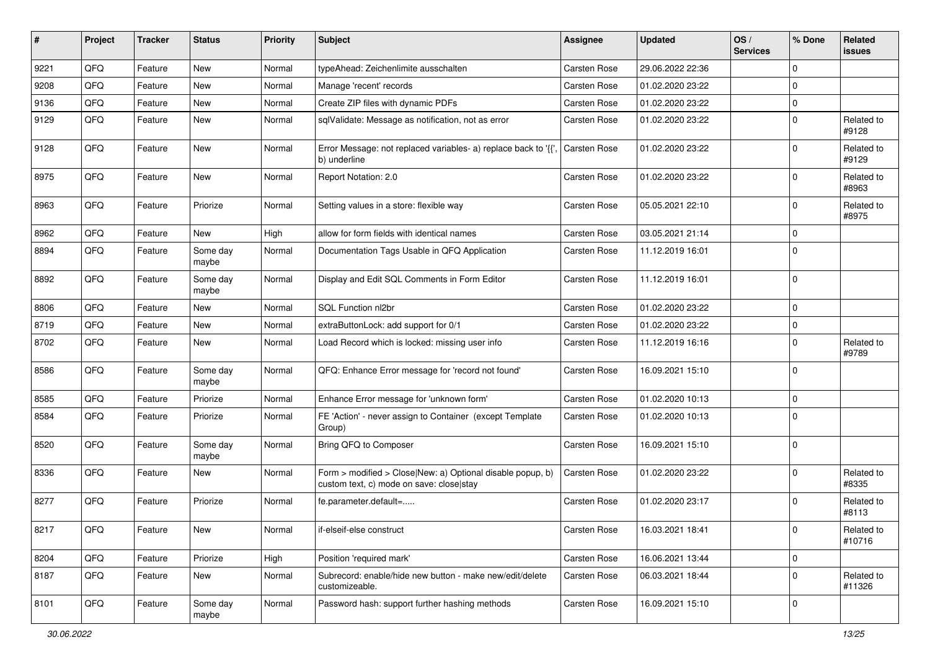| #    | Project | <b>Tracker</b> | <b>Status</b>     | <b>Priority</b> | Subject                                                                                                | Assignee            | <b>Updated</b>   | OS/<br><b>Services</b> | % Done         | Related<br><b>issues</b> |
|------|---------|----------------|-------------------|-----------------|--------------------------------------------------------------------------------------------------------|---------------------|------------------|------------------------|----------------|--------------------------|
| 9221 | QFQ     | Feature        | <b>New</b>        | Normal          | typeAhead: Zeichenlimite ausschalten                                                                   | Carsten Rose        | 29.06.2022 22:36 |                        | $\mathbf 0$    |                          |
| 9208 | QFQ     | Feature        | <b>New</b>        | Normal          | Manage 'recent' records                                                                                | Carsten Rose        | 01.02.2020 23:22 |                        | $\Omega$       |                          |
| 9136 | QFQ     | Feature        | New               | Normal          | Create ZIP files with dynamic PDFs                                                                     | Carsten Rose        | 01.02.2020 23:22 |                        | $\mathbf 0$    |                          |
| 9129 | QFQ     | Feature        | New               | Normal          | sqlValidate: Message as notification, not as error                                                     | Carsten Rose        | 01.02.2020 23:22 |                        | $\mathbf 0$    | Related to<br>#9128      |
| 9128 | QFQ     | Feature        | <b>New</b>        | Normal          | Error Message: not replaced variables- a) replace back to '{{',<br>b) underline                        | <b>Carsten Rose</b> | 01.02.2020 23:22 |                        | $\Omega$       | Related to<br>#9129      |
| 8975 | QFQ     | Feature        | New               | Normal          | Report Notation: 2.0                                                                                   | Carsten Rose        | 01.02.2020 23:22 |                        | $\Omega$       | Related to<br>#8963      |
| 8963 | QFQ     | Feature        | Priorize          | Normal          | Setting values in a store: flexible way                                                                | Carsten Rose        | 05.05.2021 22:10 |                        | $\mathbf 0$    | Related to<br>#8975      |
| 8962 | QFQ     | Feature        | <b>New</b>        | High            | allow for form fields with identical names                                                             | Carsten Rose        | 03.05.2021 21:14 |                        | $\mathbf 0$    |                          |
| 8894 | QFQ     | Feature        | Some day<br>maybe | Normal          | Documentation Tags Usable in QFQ Application                                                           | Carsten Rose        | 11.12.2019 16:01 |                        | $\Omega$       |                          |
| 8892 | QFQ     | Feature        | Some day<br>maybe | Normal          | Display and Edit SQL Comments in Form Editor                                                           | Carsten Rose        | 11.12.2019 16:01 |                        | $\mathbf 0$    |                          |
| 8806 | QFQ     | Feature        | <b>New</b>        | Normal          | SQL Function nl2br                                                                                     | Carsten Rose        | 01.02.2020 23:22 |                        | $\mathbf 0$    |                          |
| 8719 | QFQ     | Feature        | New               | Normal          | extraButtonLock: add support for 0/1                                                                   | Carsten Rose        | 01.02.2020 23:22 |                        | 0              |                          |
| 8702 | QFQ     | Feature        | New               | Normal          | Load Record which is locked: missing user info                                                         | Carsten Rose        | 11.12.2019 16:16 |                        | $\Omega$       | Related to<br>#9789      |
| 8586 | QFQ     | Feature        | Some day<br>maybe | Normal          | QFQ: Enhance Error message for 'record not found'                                                      | Carsten Rose        | 16.09.2021 15:10 |                        | $\mathbf 0$    |                          |
| 8585 | QFQ     | Feature        | Priorize          | Normal          | Enhance Error message for 'unknown form'                                                               | Carsten Rose        | 01.02.2020 10:13 |                        | $\mathbf 0$    |                          |
| 8584 | QFQ     | Feature        | Priorize          | Normal          | FE 'Action' - never assign to Container (except Template<br>Group)                                     | Carsten Rose        | 01.02.2020 10:13 |                        | $\Omega$       |                          |
| 8520 | QFQ     | Feature        | Some day<br>maybe | Normal          | Bring QFQ to Composer                                                                                  | Carsten Rose        | 16.09.2021 15:10 |                        | $\mathbf 0$    |                          |
| 8336 | QFQ     | Feature        | New               | Normal          | Form > modified > Close New: a) Optional disable popup, b)<br>custom text, c) mode on save: close stay | Carsten Rose        | 01.02.2020 23:22 |                        | $\Omega$       | Related to<br>#8335      |
| 8277 | QFQ     | Feature        | Priorize          | Normal          | fe.parameter.default=                                                                                  | Carsten Rose        | 01.02.2020 23:17 |                        | $\Omega$       | Related to<br>#8113      |
| 8217 | QFQ     | Feature        | New               | Normal          | if-elseif-else construct                                                                               | Carsten Rose        | 16.03.2021 18:41 |                        | 0              | Related to<br>#10716     |
| 8204 | QFQ     | Feature        | Priorize          | High            | Position 'required mark'                                                                               | Carsten Rose        | 16.06.2021 13:44 |                        | $\mathbf 0$    |                          |
| 8187 | QFQ     | Feature        | New               | Normal          | Subrecord: enable/hide new button - make new/edit/delete<br>customizeable.                             | Carsten Rose        | 06.03.2021 18:44 |                        | $\Omega$       | Related to<br>#11326     |
| 8101 | QFQ     | Feature        | Some day<br>maybe | Normal          | Password hash: support further hashing methods                                                         | Carsten Rose        | 16.09.2021 15:10 |                        | $\overline{0}$ |                          |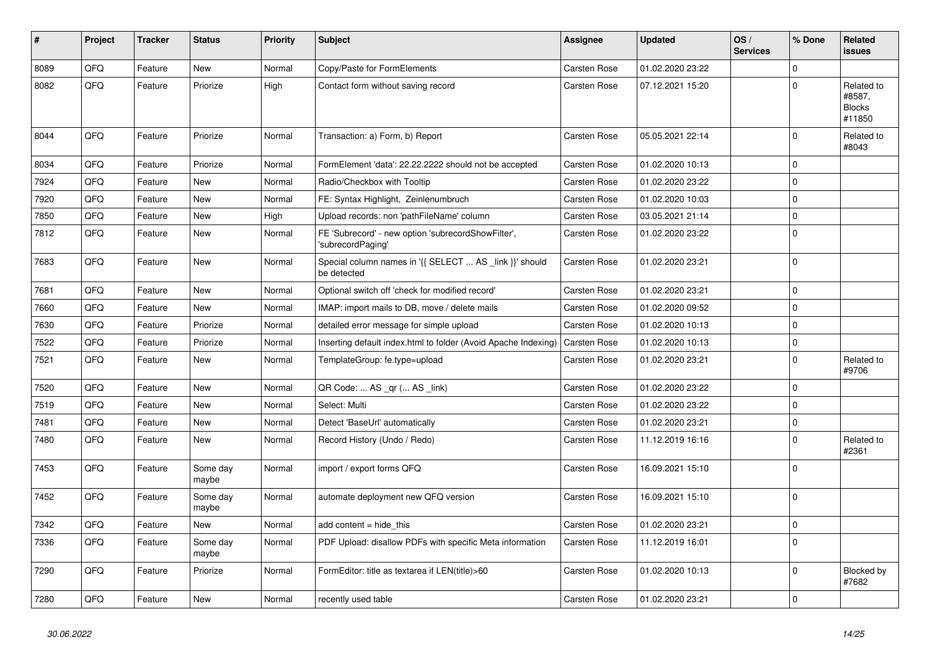| #    | Project | <b>Tracker</b> | <b>Status</b>     | <b>Priority</b> | <b>Subject</b>                                                          | Assignee     | <b>Updated</b>   | OS/<br><b>Services</b> | % Done              | Related<br><b>issues</b>                        |
|------|---------|----------------|-------------------|-----------------|-------------------------------------------------------------------------|--------------|------------------|------------------------|---------------------|-------------------------------------------------|
| 8089 | QFQ     | Feature        | <b>New</b>        | Normal          | Copy/Paste for FormElements                                             | Carsten Rose | 01.02.2020 23:22 |                        | $\mathbf 0$         |                                                 |
| 8082 | QFQ     | Feature        | Priorize          | High            | Contact form without saving record                                      | Carsten Rose | 07.12.2021 15:20 |                        | $\Omega$            | Related to<br>#8587,<br><b>Blocks</b><br>#11850 |
| 8044 | QFQ     | Feature        | Priorize          | Normal          | Transaction: a) Form, b) Report                                         | Carsten Rose | 05.05.2021 22:14 |                        | $\mathbf 0$         | Related to<br>#8043                             |
| 8034 | QFQ     | Feature        | Priorize          | Normal          | FormElement 'data': 22.22.2222 should not be accepted                   | Carsten Rose | 01.02.2020 10:13 |                        | $\mathbf 0$         |                                                 |
| 7924 | QFQ     | Feature        | New               | Normal          | Radio/Checkbox with Tooltip                                             | Carsten Rose | 01.02.2020 23:22 |                        | $\mathbf 0$         |                                                 |
| 7920 | QFQ     | Feature        | New               | Normal          | FE: Syntax Highlight, Zeinlenumbruch                                    | Carsten Rose | 01.02.2020 10:03 |                        | $\mathbf 0$         |                                                 |
| 7850 | QFQ     | Feature        | New               | High            | Upload records: non 'pathFileName' column                               | Carsten Rose | 03.05.2021 21:14 |                        | $\mathsf{O}\xspace$ |                                                 |
| 7812 | QFO     | Feature        | New               | Normal          | FE 'Subrecord' - new option 'subrecordShowFilter',<br>'subrecordPaging' | Carsten Rose | 01.02.2020 23:22 |                        | $\mathbf 0$         |                                                 |
| 7683 | QFQ     | Feature        | New               | Normal          | Special column names in '{{ SELECT  AS _link }}' should<br>be detected  | Carsten Rose | 01.02.2020 23:21 |                        | $\mathbf 0$         |                                                 |
| 7681 | QFQ     | Feature        | New               | Normal          | Optional switch off 'check for modified record'                         | Carsten Rose | 01.02.2020 23:21 |                        | $\mathbf 0$         |                                                 |
| 7660 | QFQ     | Feature        | New               | Normal          | IMAP: import mails to DB, move / delete mails                           | Carsten Rose | 01.02.2020 09:52 |                        | $\pmb{0}$           |                                                 |
| 7630 | QFQ     | Feature        | Priorize          | Normal          | detailed error message for simple upload                                | Carsten Rose | 01.02.2020 10:13 |                        | $\pmb{0}$           |                                                 |
| 7522 | QFQ     | Feature        | Priorize          | Normal          | Inserting default index.html to folder (Avoid Apache Indexing)          | Carsten Rose | 01.02.2020 10:13 |                        | $\mathsf{O}\xspace$ |                                                 |
| 7521 | QFQ     | Feature        | New               | Normal          | TemplateGroup: fe.type=upload                                           | Carsten Rose | 01.02.2020 23:21 |                        | $\mathsf{O}\xspace$ | Related to<br>#9706                             |
| 7520 | QFQ     | Feature        | <b>New</b>        | Normal          | QR Code:  AS _qr ( AS _link)                                            | Carsten Rose | 01.02.2020 23:22 |                        | $\mathbf 0$         |                                                 |
| 7519 | QFQ     | Feature        | <b>New</b>        | Normal          | Select: Multi                                                           | Carsten Rose | 01.02.2020 23:22 |                        | $\mathbf 0$         |                                                 |
| 7481 | QFQ     | Feature        | New               | Normal          | Detect 'BaseUrl' automatically                                          | Carsten Rose | 01.02.2020 23:21 |                        | $\mathsf{O}\xspace$ |                                                 |
| 7480 | QFQ     | Feature        | New               | Normal          | Record History (Undo / Redo)                                            | Carsten Rose | 11.12.2019 16:16 |                        | $\mathbf 0$         | Related to<br>#2361                             |
| 7453 | QFQ     | Feature        | Some day<br>maybe | Normal          | import / export forms QFQ                                               | Carsten Rose | 16.09.2021 15:10 |                        | $\mathbf 0$         |                                                 |
| 7452 | QFQ     | Feature        | Some day<br>maybe | Normal          | automate deployment new QFQ version                                     | Carsten Rose | 16.09.2021 15:10 |                        | $\mathbf 0$         |                                                 |
| 7342 | QFQ     | Feature        | New               | Normal          | add content = hide this                                                 | Carsten Rose | 01.02.2020 23:21 |                        | $\Omega$            |                                                 |
| 7336 | QFQ     | Feature        | Some day<br>maybe | Normal          | PDF Upload: disallow PDFs with specific Meta information                | Carsten Rose | 11.12.2019 16:01 |                        | $\mathbf 0$         |                                                 |
| 7290 | QFQ     | Feature        | Priorize          | Normal          | FormEditor: title as textarea if LEN(title)>60                          | Carsten Rose | 01.02.2020 10:13 |                        | $\mathbf 0$         | Blocked by<br>#7682                             |
| 7280 | QFQ     | Feature        | New               | Normal          | recently used table                                                     | Carsten Rose | 01.02.2020 23:21 |                        | $\mathbf 0$         |                                                 |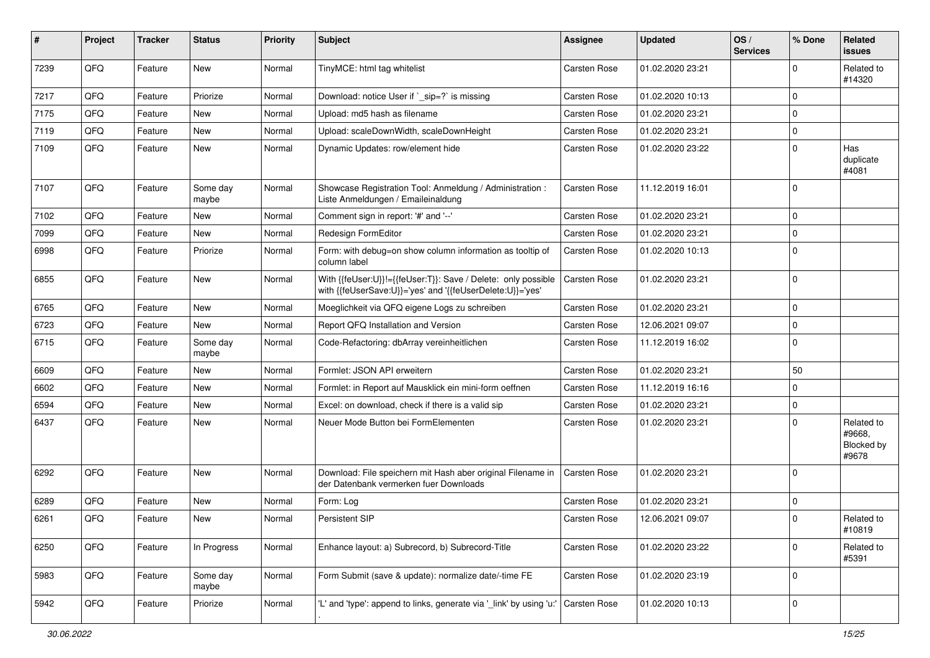| #    | Project | <b>Tracker</b> | <b>Status</b>     | <b>Priority</b> | <b>Subject</b>                                                                                                             | Assignee            | <b>Updated</b>   | OS/<br><b>Services</b> | % Done      | Related<br><b>issues</b>                    |
|------|---------|----------------|-------------------|-----------------|----------------------------------------------------------------------------------------------------------------------------|---------------------|------------------|------------------------|-------------|---------------------------------------------|
| 7239 | QFQ     | Feature        | New               | Normal          | TinyMCE: html tag whitelist                                                                                                | Carsten Rose        | 01.02.2020 23:21 |                        | $\Omega$    | Related to<br>#14320                        |
| 7217 | QFQ     | Feature        | Priorize          | Normal          | Download: notice User if `_sip=?` is missing                                                                               | Carsten Rose        | 01.02.2020 10:13 |                        | $\mathbf 0$ |                                             |
| 7175 | QFQ     | Feature        | <b>New</b>        | Normal          | Upload: md5 hash as filename                                                                                               | Carsten Rose        | 01.02.2020 23:21 |                        | $\Omega$    |                                             |
| 7119 | QFQ     | Feature        | New               | Normal          | Upload: scaleDownWidth, scaleDownHeight                                                                                    | Carsten Rose        | 01.02.2020 23:21 |                        | $\Omega$    |                                             |
| 7109 | QFQ     | Feature        | New               | Normal          | Dynamic Updates: row/element hide                                                                                          | Carsten Rose        | 01.02.2020 23:22 |                        | $\Omega$    | Has<br>duplicate<br>#4081                   |
| 7107 | QFQ     | Feature        | Some day<br>maybe | Normal          | Showcase Registration Tool: Anmeldung / Administration :<br>Liste Anmeldungen / Emaileinaldung                             | Carsten Rose        | 11.12.2019 16:01 |                        | $\mathbf 0$ |                                             |
| 7102 | QFQ     | Feature        | New               | Normal          | Comment sign in report: '#' and '--'                                                                                       | Carsten Rose        | 01.02.2020 23:21 |                        | $\Omega$    |                                             |
| 7099 | QFQ     | Feature        | New               | Normal          | Redesign FormEditor                                                                                                        | Carsten Rose        | 01.02.2020 23:21 |                        | $\Omega$    |                                             |
| 6998 | QFQ     | Feature        | Priorize          | Normal          | Form: with debug=on show column information as tooltip of<br>column label                                                  | Carsten Rose        | 01.02.2020 10:13 |                        | $\Omega$    |                                             |
| 6855 | QFQ     | Feature        | New               | Normal          | With {{feUser:U}}!={{feUser:T}}: Save / Delete: only possible<br>with {{feUserSave:U}}='yes' and '{{feUserDelete:U}}='yes' | Carsten Rose        | 01.02.2020 23:21 |                        | $\mathbf 0$ |                                             |
| 6765 | QFQ     | Feature        | <b>New</b>        | Normal          | Moeglichkeit via QFQ eigene Logs zu schreiben                                                                              | Carsten Rose        | 01.02.2020 23:21 |                        | $\mathbf 0$ |                                             |
| 6723 | QFQ     | Feature        | New               | Normal          | Report QFQ Installation and Version                                                                                        | Carsten Rose        | 12.06.2021 09:07 |                        | 0           |                                             |
| 6715 | QFQ     | Feature        | Some day<br>maybe | Normal          | Code-Refactoring: dbArray vereinheitlichen                                                                                 | Carsten Rose        | 11.12.2019 16:02 |                        | $\mathbf 0$ |                                             |
| 6609 | QFQ     | Feature        | New               | Normal          | Formlet: JSON API erweitern                                                                                                | Carsten Rose        | 01.02.2020 23:21 |                        | 50          |                                             |
| 6602 | QFQ     | Feature        | New               | Normal          | Formlet: in Report auf Mausklick ein mini-form oeffnen                                                                     | Carsten Rose        | 11.12.2019 16:16 |                        | $\mathbf 0$ |                                             |
| 6594 | QFQ     | Feature        | <b>New</b>        | Normal          | Excel: on download, check if there is a valid sip                                                                          | Carsten Rose        | 01.02.2020 23:21 |                        | $\Omega$    |                                             |
| 6437 | QFQ     | Feature        | New               | Normal          | Neuer Mode Button bei FormElementen                                                                                        | Carsten Rose        | 01.02.2020 23:21 |                        | $\Omega$    | Related to<br>#9668,<br>Blocked by<br>#9678 |
| 6292 | QFQ     | Feature        | <b>New</b>        | Normal          | Download: File speichern mit Hash aber original Filename in<br>der Datenbank vermerken fuer Downloads                      | <b>Carsten Rose</b> | 01.02.2020 23:21 |                        | $\Omega$    |                                             |
| 6289 | QFQ     | Feature        | New               | Normal          | Form: Log                                                                                                                  | Carsten Rose        | 01.02.2020 23:21 |                        | $\Omega$    |                                             |
| 6261 | QFQ     | Feature        | New               | Normal          | Persistent SIP                                                                                                             | Carsten Rose        | 12.06.2021 09:07 |                        | $\mathbf 0$ | Related to<br>#10819                        |
| 6250 | QFQ     | Feature        | In Progress       | Normal          | Enhance layout: a) Subrecord, b) Subrecord-Title                                                                           | Carsten Rose        | 01.02.2020 23:22 |                        | $\mathbf 0$ | Related to<br>#5391                         |
| 5983 | QFO     | Feature        | Some day<br>maybe | Normal          | Form Submit (save & update): normalize date/-time FE                                                                       | Carsten Rose        | 01.02.2020 23:19 |                        | 0           |                                             |
| 5942 | QFQ     | Feature        | Priorize          | Normal          | 'L' and 'type': append to links, generate via '_link' by using 'u:'                                                        | <b>Carsten Rose</b> | 01.02.2020 10:13 |                        | 0           |                                             |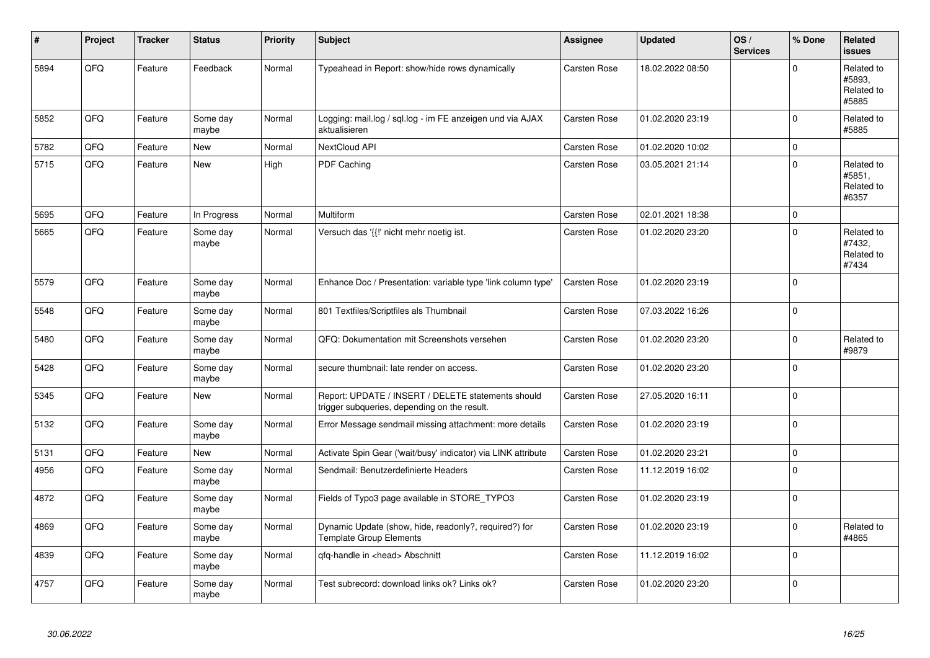| #    | Project | <b>Tracker</b> | <b>Status</b>     | <b>Priority</b> | <b>Subject</b>                                                                                     | Assignee            | <b>Updated</b>   | OS/<br><b>Services</b> | % Done      | <b>Related</b><br><b>issues</b>             |
|------|---------|----------------|-------------------|-----------------|----------------------------------------------------------------------------------------------------|---------------------|------------------|------------------------|-------------|---------------------------------------------|
| 5894 | QFQ     | Feature        | Feedback          | Normal          | Typeahead in Report: show/hide rows dynamically                                                    | Carsten Rose        | 18.02.2022 08:50 |                        | $\mathbf 0$ | Related to<br>#5893.<br>Related to<br>#5885 |
| 5852 | QFQ     | Feature        | Some day<br>maybe | Normal          | Logging: mail.log / sql.log - im FE anzeigen und via AJAX<br>aktualisieren                         | Carsten Rose        | 01.02.2020 23:19 |                        | $\mathbf 0$ | Related to<br>#5885                         |
| 5782 | QFQ     | Feature        | New               | Normal          | NextCloud API                                                                                      | <b>Carsten Rose</b> | 01.02.2020 10:02 |                        | $\mathbf 0$ |                                             |
| 5715 | QFQ     | Feature        | New               | High            | PDF Caching                                                                                        | Carsten Rose        | 03.05.2021 21:14 |                        | $\mathbf 0$ | Related to<br>#5851,<br>Related to<br>#6357 |
| 5695 | QFQ     | Feature        | In Progress       | Normal          | Multiform                                                                                          | Carsten Rose        | 02.01.2021 18:38 |                        | $\pmb{0}$   |                                             |
| 5665 | QFQ     | Feature        | Some day<br>maybe | Normal          | Versuch das '{{!' nicht mehr noetig ist.                                                           | Carsten Rose        | 01.02.2020 23:20 |                        | $\mathbf 0$ | Related to<br>#7432,<br>Related to<br>#7434 |
| 5579 | QFQ     | Feature        | Some day<br>maybe | Normal          | Enhance Doc / Presentation: variable type 'link column type'                                       | <b>Carsten Rose</b> | 01.02.2020 23:19 |                        | $\Omega$    |                                             |
| 5548 | QFQ     | Feature        | Some day<br>maybe | Normal          | 801 Textfiles/Scriptfiles als Thumbnail                                                            | Carsten Rose        | 07.03.2022 16:26 |                        | $\mathbf 0$ |                                             |
| 5480 | QFQ     | Feature        | Some day<br>maybe | Normal          | QFQ: Dokumentation mit Screenshots versehen                                                        | Carsten Rose        | 01.02.2020 23:20 |                        | $\mathbf 0$ | Related to<br>#9879                         |
| 5428 | QFQ     | Feature        | Some day<br>maybe | Normal          | secure thumbnail: late render on access.                                                           | Carsten Rose        | 01.02.2020 23:20 |                        | $\mathbf 0$ |                                             |
| 5345 | QFQ     | Feature        | New               | Normal          | Report: UPDATE / INSERT / DELETE statements should<br>trigger subqueries, depending on the result. | Carsten Rose        | 27.05.2020 16:11 |                        | $\pmb{0}$   |                                             |
| 5132 | QFQ     | Feature        | Some day<br>maybe | Normal          | Error Message sendmail missing attachment: more details                                            | <b>Carsten Rose</b> | 01.02.2020 23:19 |                        | $\mathbf 0$ |                                             |
| 5131 | QFQ     | Feature        | New               | Normal          | Activate Spin Gear ('wait/busy' indicator) via LINK attribute                                      | <b>Carsten Rose</b> | 01.02.2020 23:21 |                        | $\mathbf 0$ |                                             |
| 4956 | QFQ     | Feature        | Some day<br>maybe | Normal          | Sendmail: Benutzerdefinierte Headers                                                               | Carsten Rose        | 11.12.2019 16:02 |                        | $\mathbf 0$ |                                             |
| 4872 | QFQ     | Feature        | Some day<br>maybe | Normal          | Fields of Typo3 page available in STORE_TYPO3                                                      | Carsten Rose        | 01.02.2020 23:19 |                        | $\mathbf 0$ |                                             |
| 4869 | QFQ     | Feature        | Some day<br>maybe | Normal          | Dynamic Update (show, hide, readonly?, required?) for<br><b>Template Group Elements</b>            | Carsten Rose        | 01.02.2020 23:19 |                        | $\mathbf 0$ | Related to<br>#4865                         |
| 4839 | QFQ     | Feature        | Some day<br>maybe | Normal          | qfq-handle in <head> Abschnitt</head>                                                              | <b>Carsten Rose</b> | 11.12.2019 16:02 |                        | $\mathbf 0$ |                                             |
| 4757 | QFQ     | Feature        | Some day<br>maybe | Normal          | Test subrecord: download links ok? Links ok?                                                       | <b>Carsten Rose</b> | 01.02.2020 23:20 |                        | $\mathbf 0$ |                                             |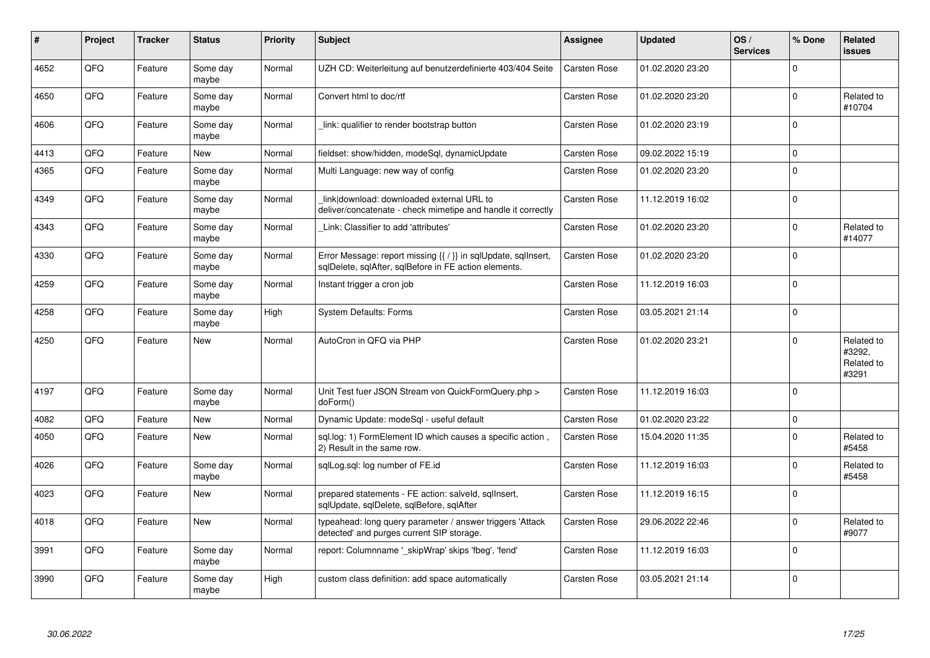| $\pmb{\sharp}$ | Project | <b>Tracker</b> | <b>Status</b>     | <b>Priority</b> | <b>Subject</b>                                                                                                          | Assignee            | <b>Updated</b>   | OS/<br><b>Services</b> | % Done   | Related<br><b>issues</b>                    |
|----------------|---------|----------------|-------------------|-----------------|-------------------------------------------------------------------------------------------------------------------------|---------------------|------------------|------------------------|----------|---------------------------------------------|
| 4652           | QFQ     | Feature        | Some day<br>maybe | Normal          | UZH CD: Weiterleitung auf benutzerdefinierte 403/404 Seite                                                              | <b>Carsten Rose</b> | 01.02.2020 23:20 |                        | $\Omega$ |                                             |
| 4650           | QFQ     | Feature        | Some day<br>maybe | Normal          | Convert html to doc/rtf                                                                                                 | Carsten Rose        | 01.02.2020 23:20 |                        | $\Omega$ | Related to<br>#10704                        |
| 4606           | QFQ     | Feature        | Some day<br>maybe | Normal          | link: qualifier to render bootstrap button                                                                              | Carsten Rose        | 01.02.2020 23:19 |                        | $\Omega$ |                                             |
| 4413           | QFQ     | Feature        | <b>New</b>        | Normal          | fieldset: show/hidden, modeSql, dynamicUpdate                                                                           | Carsten Rose        | 09.02.2022 15:19 |                        | $\Omega$ |                                             |
| 4365           | QFQ     | Feature        | Some day<br>maybe | Normal          | Multi Language: new way of config                                                                                       | Carsten Rose        | 01.02.2020 23:20 |                        | $\Omega$ |                                             |
| 4349           | QFQ     | Feature        | Some day<br>maybe | Normal          | link download: downloaded external URL to<br>deliver/concatenate - check mimetipe and handle it correctly               | Carsten Rose        | 11.12.2019 16:02 |                        | $\Omega$ |                                             |
| 4343           | QFQ     | Feature        | Some day<br>maybe | Normal          | Link: Classifier to add 'attributes'                                                                                    | <b>Carsten Rose</b> | 01.02.2020 23:20 |                        | $\Omega$ | Related to<br>#14077                        |
| 4330           | QFQ.    | Feature        | Some day<br>maybe | Normal          | Error Message: report missing {{ / }} in sqlUpdate, sqlInsert,<br>sqlDelete, sqlAfter, sqlBefore in FE action elements. | Carsten Rose        | 01.02.2020 23:20 |                        | $\Omega$ |                                             |
| 4259           | QFQ     | Feature        | Some day<br>maybe | Normal          | Instant trigger a cron job                                                                                              | Carsten Rose        | 11.12.2019 16:03 |                        | $\Omega$ |                                             |
| 4258           | QFQ     | Feature        | Some day<br>maybe | High            | <b>System Defaults: Forms</b>                                                                                           | Carsten Rose        | 03.05.2021 21:14 |                        | $\Omega$ |                                             |
| 4250           | QFQ     | Feature        | New               | Normal          | AutoCron in QFQ via PHP                                                                                                 | <b>Carsten Rose</b> | 01.02.2020 23:21 |                        | $\Omega$ | Related to<br>#3292,<br>Related to<br>#3291 |
| 4197           | QFQ     | Feature        | Some day<br>maybe | Normal          | Unit Test fuer JSON Stream von QuickFormQuery.php ><br>doForm()                                                         | Carsten Rose        | 11.12.2019 16:03 |                        | $\Omega$ |                                             |
| 4082           | QFQ     | Feature        | New               | Normal          | Dynamic Update: modeSql - useful default                                                                                | Carsten Rose        | 01.02.2020 23:22 |                        | 0        |                                             |
| 4050           | QFQ     | Feature        | New               | Normal          | sql.log: 1) FormElement ID which causes a specific action,<br>2) Result in the same row.                                | <b>Carsten Rose</b> | 15.04.2020 11:35 |                        | $\Omega$ | Related to<br>#5458                         |
| 4026           | QFQ     | Feature        | Some day<br>maybe | Normal          | sqlLog.sql: log number of FE.id                                                                                         | Carsten Rose        | 11.12.2019 16:03 |                        | $\Omega$ | Related to<br>#5458                         |
| 4023           | QFQ     | Feature        | New               | Normal          | prepared statements - FE action: salveld, sglInsert,<br>sqlUpdate, sqlDelete, sqlBefore, sqlAfter                       | <b>Carsten Rose</b> | 11.12.2019 16:15 |                        | $\Omega$ |                                             |
| 4018           | QFQ     | Feature        | New               | Normal          | typeahead: long query parameter / answer triggers 'Attack<br>detected' and purges current SIP storage.                  | <b>Carsten Rose</b> | 29.06.2022 22:46 |                        | $\Omega$ | Related to<br>#9077                         |
| 3991           | QFQ     | Feature        | Some day<br>maybe | Normal          | report: Columnname '_skipWrap' skips 'fbeg', 'fend'                                                                     | <b>Carsten Rose</b> | 11.12.2019 16:03 |                        | $\Omega$ |                                             |
| 3990           | QFQ     | Feature        | Some day<br>maybe | High            | custom class definition: add space automatically                                                                        | Carsten Rose        | 03.05.2021 21:14 |                        | $\Omega$ |                                             |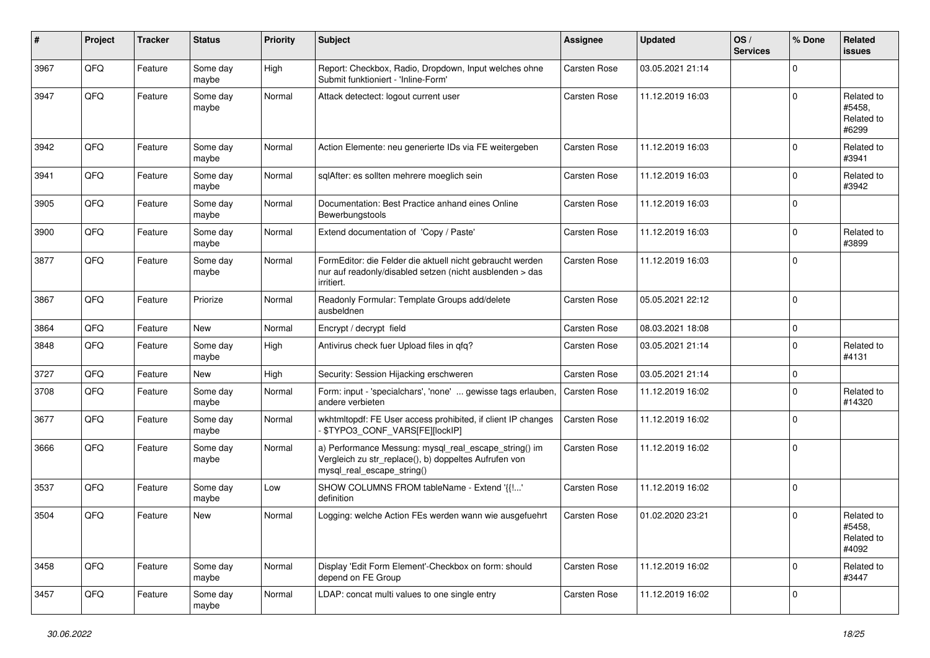| #    | Project | <b>Tracker</b> | <b>Status</b>     | <b>Priority</b> | Subject                                                                                                                                      | Assignee            | <b>Updated</b>   | OS/<br><b>Services</b> | % Done       | Related<br>issues                           |
|------|---------|----------------|-------------------|-----------------|----------------------------------------------------------------------------------------------------------------------------------------------|---------------------|------------------|------------------------|--------------|---------------------------------------------|
| 3967 | QFQ     | Feature        | Some day<br>maybe | High            | Report: Checkbox, Radio, Dropdown, Input welches ohne<br>Submit funktioniert - 'Inline-Form'                                                 | <b>Carsten Rose</b> | 03.05.2021 21:14 |                        | $\mathbf 0$  |                                             |
| 3947 | QFQ     | Feature        | Some day<br>maybe | Normal          | Attack detectect: logout current user                                                                                                        | Carsten Rose        | 11.12.2019 16:03 |                        | $\mathbf 0$  | Related to<br>#5458,<br>Related to<br>#6299 |
| 3942 | QFQ     | Feature        | Some day<br>maybe | Normal          | Action Elemente: neu generierte IDs via FE weitergeben                                                                                       | <b>Carsten Rose</b> | 11.12.2019 16:03 |                        | $\mathbf 0$  | Related to<br>#3941                         |
| 3941 | QFQ     | Feature        | Some day<br>maybe | Normal          | sqlAfter: es sollten mehrere moeglich sein                                                                                                   | Carsten Rose        | 11.12.2019 16:03 |                        | $\mathbf 0$  | Related to<br>#3942                         |
| 3905 | QFQ     | Feature        | Some day<br>maybe | Normal          | Documentation: Best Practice anhand eines Online<br>Bewerbungstools                                                                          | <b>Carsten Rose</b> | 11.12.2019 16:03 |                        | $\mathbf 0$  |                                             |
| 3900 | QFQ     | Feature        | Some day<br>maybe | Normal          | Extend documentation of 'Copy / Paste'                                                                                                       | <b>Carsten Rose</b> | 11.12.2019 16:03 |                        | $\mathbf 0$  | Related to<br>#3899                         |
| 3877 | QFQ     | Feature        | Some day<br>maybe | Normal          | FormEditor: die Felder die aktuell nicht gebraucht werden<br>nur auf readonly/disabled setzen (nicht ausblenden > das<br>irritiert.          | Carsten Rose        | 11.12.2019 16:03 |                        | $\mathbf 0$  |                                             |
| 3867 | QFQ     | Feature        | Priorize          | Normal          | Readonly Formular: Template Groups add/delete<br>ausbeldnen                                                                                  | <b>Carsten Rose</b> | 05.05.2021 22:12 |                        | $\mathbf 0$  |                                             |
| 3864 | QFQ     | Feature        | New               | Normal          | Encrypt / decrypt field                                                                                                                      | Carsten Rose        | 08.03.2021 18:08 |                        | $\mathbf 0$  |                                             |
| 3848 | QFQ     | Feature        | Some day<br>maybe | High            | Antivirus check fuer Upload files in qfq?                                                                                                    | Carsten Rose        | 03.05.2021 21:14 |                        | $\mathbf 0$  | Related to<br>#4131                         |
| 3727 | QFQ     | Feature        | New               | High            | Security: Session Hijacking erschweren                                                                                                       | Carsten Rose        | 03.05.2021 21:14 |                        | $\mathbf 0$  |                                             |
| 3708 | QFQ     | Feature        | Some day<br>maybe | Normal          | Form: input - 'specialchars', 'none'  gewisse tags erlauben,<br>andere verbieten                                                             | Carsten Rose        | 11.12.2019 16:02 |                        | $\mathbf 0$  | Related to<br>#14320                        |
| 3677 | QFQ     | Feature        | Some day<br>maybe | Normal          | wkhtmltopdf: FE User access prohibited, if client IP changes<br>- \$TYPO3_CONF_VARS[FE][lockIP]                                              | Carsten Rose        | 11.12.2019 16:02 |                        | $\mathbf 0$  |                                             |
| 3666 | QFQ     | Feature        | Some day<br>maybe | Normal          | a) Performance Messung: mysql_real_escape_string() im<br>Vergleich zu str_replace(), b) doppeltes Aufrufen von<br>mysql_real_escape_string() | Carsten Rose        | 11.12.2019 16:02 |                        | $\mathbf 0$  |                                             |
| 3537 | QFQ     | Feature        | Some day<br>maybe | Low             | SHOW COLUMNS FROM tableName - Extend '{{!'<br>definition                                                                                     | Carsten Rose        | 11.12.2019 16:02 |                        | $\mathbf 0$  |                                             |
| 3504 | QFQ     | Feature        | New               | Normal          | Logging: welche Action FEs werden wann wie ausgefuehrt                                                                                       | Carsten Rose        | 01.02.2020 23:21 |                        | $\mathbf 0$  | Related to<br>#5458,<br>Related to<br>#4092 |
| 3458 | QFQ     | Feature        | Some day<br>maybe | Normal          | Display 'Edit Form Element'-Checkbox on form: should<br>depend on FE Group                                                                   | Carsten Rose        | 11.12.2019 16:02 |                        | $\mathbf{0}$ | Related to<br>#3447                         |
| 3457 | QFQ     | Feature        | Some day<br>maybe | Normal          | LDAP: concat multi values to one single entry                                                                                                | Carsten Rose        | 11.12.2019 16:02 |                        | $\mathbf 0$  |                                             |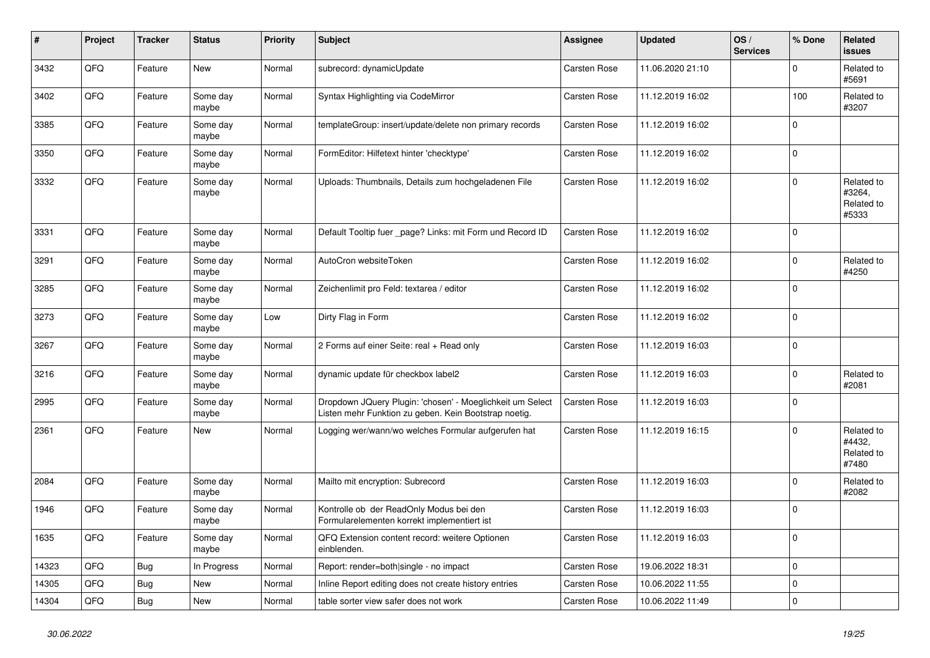| $\vert$ # | Project | <b>Tracker</b> | <b>Status</b>     | <b>Priority</b> | <b>Subject</b>                                                                                                     | Assignee            | <b>Updated</b>   | OS/<br><b>Services</b> | % Done      | Related<br><b>issues</b>                    |
|-----------|---------|----------------|-------------------|-----------------|--------------------------------------------------------------------------------------------------------------------|---------------------|------------------|------------------------|-------------|---------------------------------------------|
| 3432      | QFQ     | Feature        | New               | Normal          | subrecord: dynamicUpdate                                                                                           | <b>Carsten Rose</b> | 11.06.2020 21:10 |                        | $\Omega$    | Related to<br>#5691                         |
| 3402      | QFQ     | Feature        | Some day<br>maybe | Normal          | Syntax Highlighting via CodeMirror                                                                                 | Carsten Rose        | 11.12.2019 16:02 |                        | 100         | Related to<br>#3207                         |
| 3385      | QFQ     | Feature        | Some day<br>maybe | Normal          | templateGroup: insert/update/delete non primary records                                                            | Carsten Rose        | 11.12.2019 16:02 |                        | $\Omega$    |                                             |
| 3350      | QFQ     | Feature        | Some day<br>maybe | Normal          | FormEditor: Hilfetext hinter 'checktype'                                                                           | Carsten Rose        | 11.12.2019 16:02 |                        | $\mathbf 0$ |                                             |
| 3332      | QFQ     | Feature        | Some day<br>maybe | Normal          | Uploads: Thumbnails, Details zum hochgeladenen File                                                                | <b>Carsten Rose</b> | 11.12.2019 16:02 |                        | $\Omega$    | Related to<br>#3264,<br>Related to<br>#5333 |
| 3331      | QFQ     | Feature        | Some day<br>maybe | Normal          | Default Tooltip fuer _page? Links: mit Form und Record ID                                                          | Carsten Rose        | 11.12.2019 16:02 |                        | $\mathbf 0$ |                                             |
| 3291      | QFQ     | Feature        | Some day<br>maybe | Normal          | AutoCron websiteToken                                                                                              | Carsten Rose        | 11.12.2019 16:02 |                        | $\mathbf 0$ | Related to<br>#4250                         |
| 3285      | QFQ     | Feature        | Some day<br>maybe | Normal          | Zeichenlimit pro Feld: textarea / editor                                                                           | Carsten Rose        | 11.12.2019 16:02 |                        | $\Omega$    |                                             |
| 3273      | QFQ     | Feature        | Some day<br>maybe | Low             | Dirty Flag in Form                                                                                                 | Carsten Rose        | 11.12.2019 16:02 |                        | $\Omega$    |                                             |
| 3267      | QFQ     | Feature        | Some day<br>maybe | Normal          | 2 Forms auf einer Seite: real + Read only                                                                          | Carsten Rose        | 11.12.2019 16:03 |                        | $\mathbf 0$ |                                             |
| 3216      | QFQ     | Feature        | Some day<br>maybe | Normal          | dynamic update für checkbox label2                                                                                 | Carsten Rose        | 11.12.2019 16:03 |                        | $\mathbf 0$ | Related to<br>#2081                         |
| 2995      | QFQ     | Feature        | Some day<br>maybe | Normal          | Dropdown JQuery Plugin: 'chosen' - Moeglichkeit um Select<br>Listen mehr Funktion zu geben. Kein Bootstrap noetig. | <b>Carsten Rose</b> | 11.12.2019 16:03 |                        | $\Omega$    |                                             |
| 2361      | QFQ     | Feature        | New               | Normal          | Logging wer/wann/wo welches Formular aufgerufen hat                                                                | <b>Carsten Rose</b> | 11.12.2019 16:15 |                        | $\mathbf 0$ | Related to<br>#4432,<br>Related to<br>#7480 |
| 2084      | QFQ     | Feature        | Some day<br>maybe | Normal          | Mailto mit encryption: Subrecord                                                                                   | Carsten Rose        | 11.12.2019 16:03 |                        | $\Omega$    | Related to<br>#2082                         |
| 1946      | QFQ     | Feature        | Some day<br>maybe | Normal          | Kontrolle ob der ReadOnly Modus bei den<br>Formularelementen korrekt implementiert ist                             | Carsten Rose        | 11.12.2019 16:03 |                        | $\Omega$    |                                             |
| 1635      | QFQ     | Feature        | Some day<br>maybe | Normal          | QFQ Extension content record: weitere Optionen<br>einblenden.                                                      | Carsten Rose        | 11.12.2019 16:03 |                        | $\mathbf 0$ |                                             |
| 14323     | QFQ     | <b>Bug</b>     | In Progress       | Normal          | Report: render=both single - no impact                                                                             | Carsten Rose        | 19.06.2022 18:31 |                        | $\mathbf 0$ |                                             |
| 14305     | QFQ     | <b>Bug</b>     | New               | Normal          | Inline Report editing does not create history entries                                                              | Carsten Rose        | 10.06.2022 11:55 |                        | $\pmb{0}$   |                                             |
| 14304     | QFQ     | Bug            | New               | Normal          | table sorter view safer does not work                                                                              | <b>Carsten Rose</b> | 10.06.2022 11:49 |                        | $\pmb{0}$   |                                             |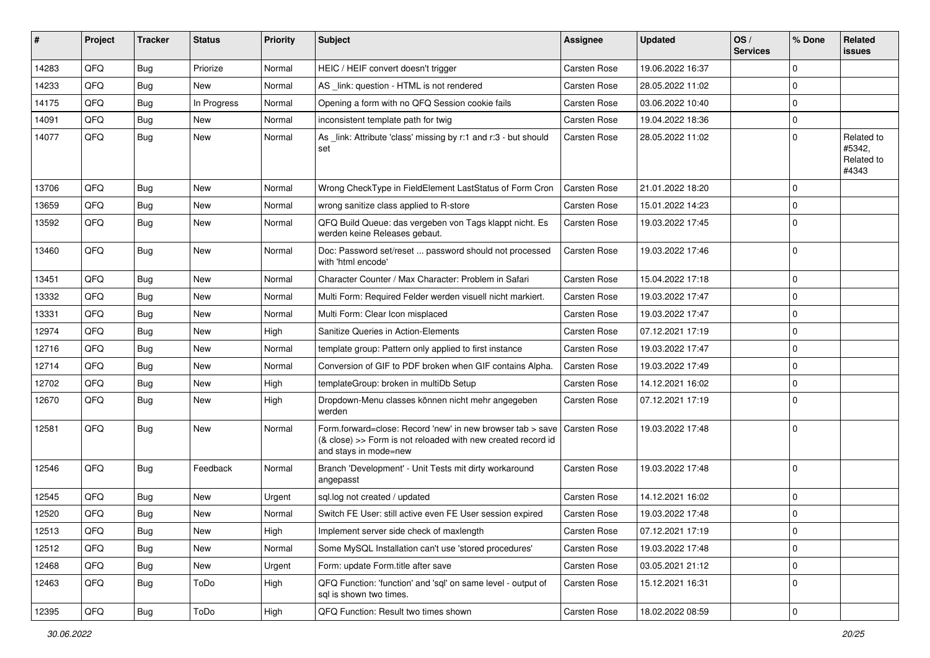| #     | Project | <b>Tracker</b> | <b>Status</b> | <b>Priority</b> | <b>Subject</b>                                                                                                                                      | Assignee            | <b>Updated</b>   | OS/<br><b>Services</b> | % Done      | Related<br><b>issues</b>                    |
|-------|---------|----------------|---------------|-----------------|-----------------------------------------------------------------------------------------------------------------------------------------------------|---------------------|------------------|------------------------|-------------|---------------------------------------------|
| 14283 | QFQ     | <b>Bug</b>     | Priorize      | Normal          | HEIC / HEIF convert doesn't trigger                                                                                                                 | Carsten Rose        | 19.06.2022 16:37 |                        | $\Omega$    |                                             |
| 14233 | QFQ     | <b>Bug</b>     | <b>New</b>    | Normal          | AS _link: question - HTML is not rendered                                                                                                           | Carsten Rose        | 28.05.2022 11:02 |                        | $\mathbf 0$ |                                             |
| 14175 | QFQ     | <b>Bug</b>     | In Progress   | Normal          | Opening a form with no QFQ Session cookie fails                                                                                                     | Carsten Rose        | 03.06.2022 10:40 |                        | $\mathbf 0$ |                                             |
| 14091 | QFQ     | <b>Bug</b>     | <b>New</b>    | Normal          | inconsistent template path for twig                                                                                                                 | <b>Carsten Rose</b> | 19.04.2022 18:36 |                        | $\mathbf 0$ |                                             |
| 14077 | QFQ     | <b>Bug</b>     | New           | Normal          | As _link: Attribute 'class' missing by r:1 and r:3 - but should<br>set                                                                              | Carsten Rose        | 28.05.2022 11:02 |                        | $\Omega$    | Related to<br>#5342,<br>Related to<br>#4343 |
| 13706 | QFQ     | <b>Bug</b>     | <b>New</b>    | Normal          | Wrong CheckType in FieldElement LastStatus of Form Cron                                                                                             | <b>Carsten Rose</b> | 21.01.2022 18:20 |                        | $\Omega$    |                                             |
| 13659 | QFQ     | <b>Bug</b>     | New           | Normal          | wrong sanitize class applied to R-store                                                                                                             | <b>Carsten Rose</b> | 15.01.2022 14:23 |                        | $\Omega$    |                                             |
| 13592 | QFQ     | Bug            | New           | Normal          | QFQ Build Queue: das vergeben von Tags klappt nicht. Es<br>werden keine Releases gebaut.                                                            | <b>Carsten Rose</b> | 19.03.2022 17:45 |                        | $\Omega$    |                                             |
| 13460 | QFQ     | <b>Bug</b>     | New           | Normal          | Doc: Password set/reset  password should not processed<br>with 'html encode'                                                                        | Carsten Rose        | 19.03.2022 17:46 |                        | $\Omega$    |                                             |
| 13451 | QFQ     | <b>Bug</b>     | <b>New</b>    | Normal          | Character Counter / Max Character: Problem in Safari                                                                                                | <b>Carsten Rose</b> | 15.04.2022 17:18 |                        | $\mathbf 0$ |                                             |
| 13332 | QFQ     | <b>Bug</b>     | New           | Normal          | Multi Form: Required Felder werden visuell nicht markiert.                                                                                          | <b>Carsten Rose</b> | 19.03.2022 17:47 |                        | $\Omega$    |                                             |
| 13331 | QFQ     | <b>Bug</b>     | <b>New</b>    | Normal          | Multi Form: Clear Icon misplaced                                                                                                                    | <b>Carsten Rose</b> | 19.03.2022 17:47 |                        | $\mathbf 0$ |                                             |
| 12974 | QFQ     | <b>Bug</b>     | New           | High            | Sanitize Queries in Action-Elements                                                                                                                 | <b>Carsten Rose</b> | 07.12.2021 17:19 |                        | $\mathbf 0$ |                                             |
| 12716 | QFQ     | <b>Bug</b>     | New           | Normal          | template group: Pattern only applied to first instance                                                                                              | <b>Carsten Rose</b> | 19.03.2022 17:47 |                        | $\Omega$    |                                             |
| 12714 | QFQ     | <b>Bug</b>     | New           | Normal          | Conversion of GIF to PDF broken when GIF contains Alpha.                                                                                            | <b>Carsten Rose</b> | 19.03.2022 17:49 |                        | $\Omega$    |                                             |
| 12702 | QFQ     | <b>Bug</b>     | New           | High            | templateGroup: broken in multiDb Setup                                                                                                              | <b>Carsten Rose</b> | 14.12.2021 16:02 |                        | $\Omega$    |                                             |
| 12670 | QFQ     | Bug            | New           | High            | Dropdown-Menu classes können nicht mehr angegeben<br>werden                                                                                         | Carsten Rose        | 07.12.2021 17:19 |                        | $\mathbf 0$ |                                             |
| 12581 | QFQ     | <b>Bug</b>     | New           | Normal          | Form.forward=close: Record 'new' in new browser tab > save<br>(& close) >> Form is not reloaded with new created record id<br>and stays in mode=new | <b>Carsten Rose</b> | 19.03.2022 17:48 |                        | $\Omega$    |                                             |
| 12546 | QFQ     | Bug            | Feedback      | Normal          | Branch 'Development' - Unit Tests mit dirty workaround<br>angepasst                                                                                 | <b>Carsten Rose</b> | 19.03.2022 17:48 |                        | $\Omega$    |                                             |
| 12545 | QFQ     | <b>Bug</b>     | New           | Urgent          | sql.log not created / updated                                                                                                                       | <b>Carsten Rose</b> | 14.12.2021 16:02 |                        | $\mathbf 0$ |                                             |
| 12520 | QFQ     | <b>Bug</b>     | New           | Normal          | Switch FE User: still active even FE User session expired                                                                                           | Carsten Rose        | 19.03.2022 17:48 |                        | $\mathbf 0$ |                                             |
| 12513 | QFQ     | Bug            | <b>New</b>    | High            | Implement server side check of maxlength                                                                                                            | Carsten Rose        | 07.12.2021 17:19 |                        | 0           |                                             |
| 12512 | QFQ     | <b>Bug</b>     | New           | Normal          | Some MySQL Installation can't use 'stored procedures'                                                                                               | Carsten Rose        | 19.03.2022 17:48 |                        | $\mathbf 0$ |                                             |
| 12468 | QFQ     | <b>Bug</b>     | New           | Urgent          | Form: update Form.title after save                                                                                                                  | Carsten Rose        | 03.05.2021 21:12 |                        | $\mathbf 0$ |                                             |
| 12463 | QFQ     | <b>Bug</b>     | ToDo          | High            | QFQ Function: 'function' and 'sql' on same level - output of<br>sql is shown two times.                                                             | Carsten Rose        | 15.12.2021 16:31 |                        | 0           |                                             |
| 12395 | QFQ     | <b>Bug</b>     | ToDo          | High            | QFQ Function: Result two times shown                                                                                                                | Carsten Rose        | 18.02.2022 08:59 |                        | 0           |                                             |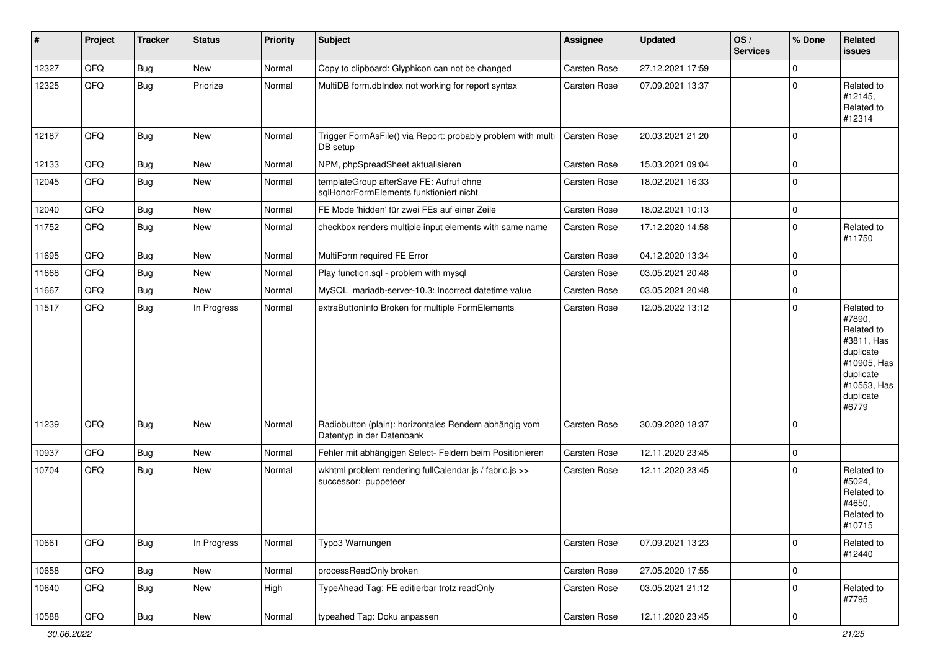| #     | Project | <b>Tracker</b> | <b>Status</b> | <b>Priority</b> | <b>Subject</b>                                                                      | <b>Assignee</b>     | <b>Updated</b>   | OS/<br><b>Services</b> | % Done      | Related<br><b>issues</b>                                                                                                       |
|-------|---------|----------------|---------------|-----------------|-------------------------------------------------------------------------------------|---------------------|------------------|------------------------|-------------|--------------------------------------------------------------------------------------------------------------------------------|
| 12327 | QFQ     | Bug            | New           | Normal          | Copy to clipboard: Glyphicon can not be changed                                     | Carsten Rose        | 27.12.2021 17:59 |                        | $\Omega$    |                                                                                                                                |
| 12325 | QFQ     | <b>Bug</b>     | Priorize      | Normal          | MultiDB form.dblndex not working for report syntax                                  | Carsten Rose        | 07.09.2021 13:37 |                        | $\Omega$    | Related to<br>#12145,<br>Related to<br>#12314                                                                                  |
| 12187 | QFQ     | Bug            | <b>New</b>    | Normal          | Trigger FormAsFile() via Report: probably problem with multi<br>DB setup            | Carsten Rose        | 20.03.2021 21:20 |                        | $\mathbf 0$ |                                                                                                                                |
| 12133 | QFQ     | <b>Bug</b>     | New           | Normal          | NPM, phpSpreadSheet aktualisieren                                                   | <b>Carsten Rose</b> | 15.03.2021 09:04 |                        | 0           |                                                                                                                                |
| 12045 | QFQ     | <b>Bug</b>     | New           | Normal          | templateGroup afterSave FE: Aufruf ohne<br>sqlHonorFormElements funktioniert nicht  | Carsten Rose        | 18.02.2021 16:33 |                        | $\mathbf 0$ |                                                                                                                                |
| 12040 | QFQ     | <b>Bug</b>     | New           | Normal          | FE Mode 'hidden' für zwei FEs auf einer Zeile                                       | Carsten Rose        | 18.02.2021 10:13 |                        | $\mathbf 0$ |                                                                                                                                |
| 11752 | QFQ     | <b>Bug</b>     | New           | Normal          | checkbox renders multiple input elements with same name                             | Carsten Rose        | 17.12.2020 14:58 |                        | $\mathbf 0$ | Related to<br>#11750                                                                                                           |
| 11695 | QFQ     | <b>Bug</b>     | <b>New</b>    | Normal          | MultiForm required FE Error                                                         | Carsten Rose        | 04.12.2020 13:34 |                        | $\mathbf 0$ |                                                                                                                                |
| 11668 | QFQ     | <b>Bug</b>     | New           | Normal          | Play function.sql - problem with mysql                                              | <b>Carsten Rose</b> | 03.05.2021 20:48 |                        | $\mathbf 0$ |                                                                                                                                |
| 11667 | QFQ     | <b>Bug</b>     | New           | Normal          | MySQL mariadb-server-10.3: Incorrect datetime value                                 | <b>Carsten Rose</b> | 03.05.2021 20:48 |                        | $\mathbf 0$ |                                                                                                                                |
| 11517 | QFQ     | <b>Bug</b>     | In Progress   | Normal          | extraButtonInfo Broken for multiple FormElements                                    | Carsten Rose        | 12.05.2022 13:12 |                        | $\Omega$    | Related to<br>#7890,<br>Related to<br>#3811, Has<br>duplicate<br>#10905, Has<br>duplicate<br>#10553, Has<br>duplicate<br>#6779 |
| 11239 | QFQ     | <b>Bug</b>     | New           | Normal          | Radiobutton (plain): horizontales Rendern abhängig vom<br>Datentyp in der Datenbank | Carsten Rose        | 30.09.2020 18:37 |                        | $\mathbf 0$ |                                                                                                                                |
| 10937 | QFQ     | Bug            | <b>New</b>    | Normal          | Fehler mit abhängigen Select- Feldern beim Positionieren                            | <b>Carsten Rose</b> | 12.11.2020 23:45 |                        | $\mathbf 0$ |                                                                                                                                |
| 10704 | QFQ     | <b>Bug</b>     | New           | Normal          | wkhtml problem rendering fullCalendar.js / fabric.js >><br>successor: puppeteer     | <b>Carsten Rose</b> | 12.11.2020 23:45 |                        | $\Omega$    | Related to<br>#5024,<br>Related to<br>#4650,<br>Related to<br>#10715                                                           |
| 10661 | QFQ     | <b>Bug</b>     | In Progress   | Normal          | Typo3 Warnungen                                                                     | <b>Carsten Rose</b> | 07.09.2021 13:23 |                        | 0           | Related to<br>#12440                                                                                                           |
| 10658 | QFQ     | <b>Bug</b>     | New           | Normal          | processReadOnly broken                                                              | Carsten Rose        | 27.05.2020 17:55 |                        | $\mathbf 0$ |                                                                                                                                |
| 10640 | QFQ     | <b>Bug</b>     | New           | High            | TypeAhead Tag: FE editierbar trotz readOnly                                         | Carsten Rose        | 03.05.2021 21:12 |                        | $\mathbf 0$ | Related to<br>#7795                                                                                                            |
| 10588 | QFQ     | Bug            | New           | Normal          | typeahed Tag: Doku anpassen                                                         | Carsten Rose        | 12.11.2020 23:45 |                        | $\mathbf 0$ |                                                                                                                                |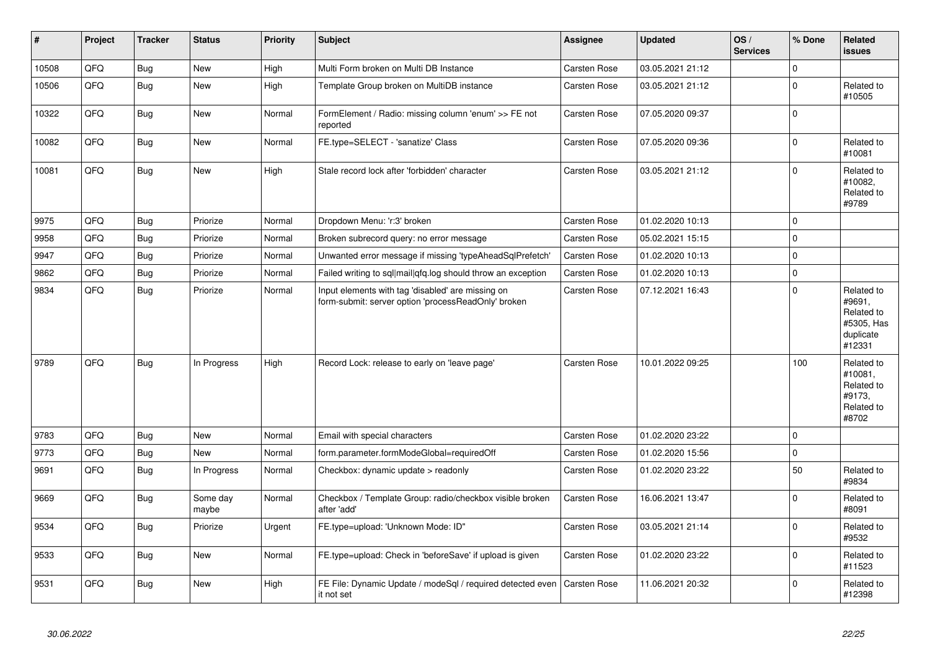| #     | Project | <b>Tracker</b> | <b>Status</b>     | <b>Priority</b> | <b>Subject</b>                                                                                           | <b>Assignee</b>     | <b>Updated</b>   | OS/<br><b>Services</b> | % Done      | Related<br><b>issues</b>                                                |
|-------|---------|----------------|-------------------|-----------------|----------------------------------------------------------------------------------------------------------|---------------------|------------------|------------------------|-------------|-------------------------------------------------------------------------|
| 10508 | QFQ     | <b>Bug</b>     | <b>New</b>        | High            | Multi Form broken on Multi DB Instance                                                                   | Carsten Rose        | 03.05.2021 21:12 |                        | $\Omega$    |                                                                         |
| 10506 | QFQ     | Bug            | New               | High            | Template Group broken on MultiDB instance                                                                | Carsten Rose        | 03.05.2021 21:12 |                        | $\Omega$    | Related to<br>#10505                                                    |
| 10322 | QFQ     | <b>Bug</b>     | <b>New</b>        | Normal          | FormElement / Radio: missing column 'enum' >> FE not<br>reported                                         | Carsten Rose        | 07.05.2020 09:37 |                        | $\Omega$    |                                                                         |
| 10082 | QFQ     | <b>Bug</b>     | New               | Normal          | FE.type=SELECT - 'sanatize' Class                                                                        | Carsten Rose        | 07.05.2020 09:36 |                        | $\mathbf 0$ | Related to<br>#10081                                                    |
| 10081 | QFQ     | Bug            | New               | High            | Stale record lock after 'forbidden' character                                                            | Carsten Rose        | 03.05.2021 21:12 |                        | $\mathbf 0$ | Related to<br>#10082,<br>Related to<br>#9789                            |
| 9975  | QFQ     | <b>Bug</b>     | Priorize          | Normal          | Dropdown Menu: 'r:3' broken                                                                              | <b>Carsten Rose</b> | 01.02.2020 10:13 |                        | $\Omega$    |                                                                         |
| 9958  | QFQ     | Bug            | Priorize          | Normal          | Broken subrecord query: no error message                                                                 | Carsten Rose        | 05.02.2021 15:15 |                        | $\mathbf 0$ |                                                                         |
| 9947  | QFQ     | <b>Bug</b>     | Priorize          | Normal          | Unwanted error message if missing 'typeAheadSqlPrefetch'                                                 | Carsten Rose        | 01.02.2020 10:13 |                        | $\mathbf 0$ |                                                                         |
| 9862  | QFQ     | <b>Bug</b>     | Priorize          | Normal          | Failed writing to sql mail qfq.log should throw an exception                                             | <b>Carsten Rose</b> | 01.02.2020 10:13 |                        | $\Omega$    |                                                                         |
| 9834  | QFQ     | <b>Bug</b>     | Priorize          | Normal          | Input elements with tag 'disabled' are missing on<br>form-submit: server option 'processReadOnly' broken | Carsten Rose        | 07.12.2021 16:43 |                        | $\Omega$    | Related to<br>#9691,<br>Related to<br>#5305, Has<br>duplicate<br>#12331 |
| 9789  | QFQ     | Bug            | In Progress       | High            | Record Lock: release to early on 'leave page'                                                            | Carsten Rose        | 10.01.2022 09:25 |                        | 100         | Related to<br>#10081.<br>Related to<br>#9173,<br>Related to<br>#8702    |
| 9783  | QFQ     | Bug            | <b>New</b>        | Normal          | Email with special characters                                                                            | <b>Carsten Rose</b> | 01.02.2020 23:22 |                        | $\mathbf 0$ |                                                                         |
| 9773  | QFQ     | <b>Bug</b>     | New               | Normal          | form.parameter.formModeGlobal=requiredOff                                                                | Carsten Rose        | 01.02.2020 15:56 |                        | $\mathbf 0$ |                                                                         |
| 9691  | QFQ     | <b>Bug</b>     | In Progress       | Normal          | Checkbox: dynamic update > readonly                                                                      | Carsten Rose        | 01.02.2020 23:22 |                        | 50          | Related to<br>#9834                                                     |
| 9669  | QFQ     | Bug            | Some day<br>maybe | Normal          | Checkbox / Template Group: radio/checkbox visible broken<br>after 'add'                                  | Carsten Rose        | 16.06.2021 13:47 |                        | $\Omega$    | Related to<br>#8091                                                     |
| 9534  | QFQ     | Bug            | Priorize          | Urgent          | FE.type=upload: 'Unknown Mode: ID"                                                                       | Carsten Rose        | 03.05.2021 21:14 |                        | $\mathbf 0$ | Related to<br>#9532                                                     |
| 9533  | QFQ     | Bug            | <b>New</b>        | Normal          | FE.type=upload: Check in 'beforeSave' if upload is given                                                 | Carsten Rose        | 01.02.2020 23:22 |                        | $\mathbf 0$ | Related to<br>#11523                                                    |
| 9531  | QFQ     | Bug            | <b>New</b>        | High            | FE File: Dynamic Update / modeSql / required detected even<br>it not set                                 | Carsten Rose        | 11.06.2021 20:32 |                        | $\mathbf 0$ | Related to<br>#12398                                                    |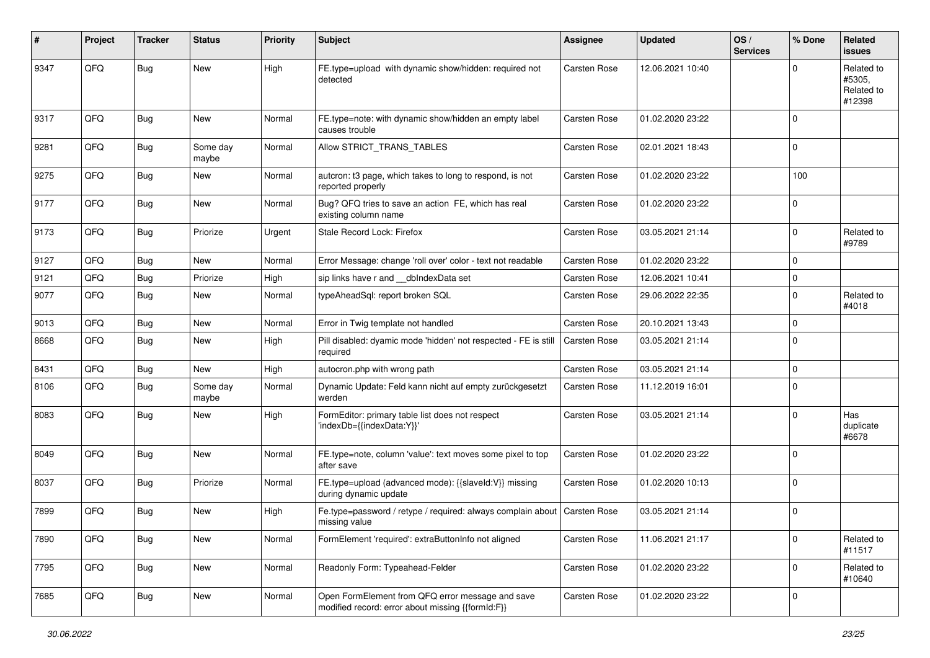| #    | Project | <b>Tracker</b> | <b>Status</b>     | <b>Priority</b> | <b>Subject</b>                                                                                        | <b>Assignee</b>     | <b>Updated</b>   | OS/<br><b>Services</b> | % Done      | Related<br><b>issues</b>                     |
|------|---------|----------------|-------------------|-----------------|-------------------------------------------------------------------------------------------------------|---------------------|------------------|------------------------|-------------|----------------------------------------------|
| 9347 | QFQ     | Bug            | New               | High            | FE.type=upload with dynamic show/hidden: required not<br>detected                                     | <b>Carsten Rose</b> | 12.06.2021 10:40 |                        | $\Omega$    | Related to<br>#5305,<br>Related to<br>#12398 |
| 9317 | QFQ     | <b>Bug</b>     | <b>New</b>        | Normal          | FE.type=note: with dynamic show/hidden an empty label<br>causes trouble                               | <b>Carsten Rose</b> | 01.02.2020 23:22 |                        | $\Omega$    |                                              |
| 9281 | QFQ     | <b>Bug</b>     | Some day<br>maybe | Normal          | Allow STRICT_TRANS_TABLES                                                                             | <b>Carsten Rose</b> | 02.01.2021 18:43 |                        | $\mathbf 0$ |                                              |
| 9275 | QFQ     | Bug            | New               | Normal          | autcron: t3 page, which takes to long to respond, is not<br>reported properly                         | Carsten Rose        | 01.02.2020 23:22 |                        | 100         |                                              |
| 9177 | QFQ     | Bug            | <b>New</b>        | Normal          | Bug? QFQ tries to save an action FE, which has real<br>existing column name                           | <b>Carsten Rose</b> | 01.02.2020 23:22 |                        | $\Omega$    |                                              |
| 9173 | QFQ     | Bug            | Priorize          | Urgent          | Stale Record Lock: Firefox                                                                            | <b>Carsten Rose</b> | 03.05.2021 21:14 |                        | $\mathbf 0$ | Related to<br>#9789                          |
| 9127 | QFQ     | <b>Bug</b>     | New               | Normal          | Error Message: change 'roll over' color - text not readable                                           | <b>Carsten Rose</b> | 01.02.2020 23:22 |                        | $\mathbf 0$ |                                              |
| 9121 | QFQ     | Bug            | Priorize          | High            | sip links have r and dblndexData set                                                                  | <b>Carsten Rose</b> | 12.06.2021 10:41 |                        | 0           |                                              |
| 9077 | QFQ     | Bug            | New               | Normal          | typeAheadSql: report broken SQL                                                                       | Carsten Rose        | 29.06.2022 22:35 |                        | $\Omega$    | Related to<br>#4018                          |
| 9013 | QFQ     | Bug            | New               | Normal          | Error in Twig template not handled                                                                    | <b>Carsten Rose</b> | 20.10.2021 13:43 |                        | 0           |                                              |
| 8668 | QFQ     | Bug            | <b>New</b>        | High            | Pill disabled: dyamic mode 'hidden' not respected - FE is still<br>required                           | <b>Carsten Rose</b> | 03.05.2021 21:14 |                        | $\Omega$    |                                              |
| 8431 | QFQ     | Bug            | <b>New</b>        | High            | autocron.php with wrong path                                                                          | <b>Carsten Rose</b> | 03.05.2021 21:14 |                        | $\Omega$    |                                              |
| 8106 | QFQ     | Bug            | Some day<br>maybe | Normal          | Dynamic Update: Feld kann nicht auf empty zurückgesetzt<br>werden                                     | Carsten Rose        | 11.12.2019 16:01 |                        | $\mathbf 0$ |                                              |
| 8083 | QFQ     | Bug            | New               | High            | FormEditor: primary table list does not respect<br>'indexDb={{indexData:Y}}'                          | Carsten Rose        | 03.05.2021 21:14 |                        | $\mathbf 0$ | Has<br>duplicate<br>#6678                    |
| 8049 | QFQ     | <b>Bug</b>     | New               | Normal          | FE.type=note, column 'value': text moves some pixel to top<br>after save                              | Carsten Rose        | 01.02.2020 23:22 |                        | $\mathbf 0$ |                                              |
| 8037 | QFQ     | Bug            | Priorize          | Normal          | FE.type=upload (advanced mode): {{slaveId:V}} missing<br>during dynamic update                        | Carsten Rose        | 01.02.2020 10:13 |                        | $\Omega$    |                                              |
| 7899 | QFQ     | Bug            | New               | High            | Fe.type=password / retype / required: always complain about   Carsten Rose<br>missing value           |                     | 03.05.2021 21:14 |                        | $\mathbf 0$ |                                              |
| 7890 | QFQ     | <b>Bug</b>     | New               | Normal          | FormElement 'required': extraButtonInfo not aligned                                                   | Carsten Rose        | 11.06.2021 21:17 |                        | $\mathbf 0$ | Related to<br>#11517                         |
| 7795 | QFQ     | <b>Bug</b>     | New               | Normal          | Readonly Form: Typeahead-Felder                                                                       | Carsten Rose        | 01.02.2020 23:22 |                        | $\mathbf 0$ | Related to<br>#10640                         |
| 7685 | QFQ     | Bug            | New               | Normal          | Open FormElement from QFQ error message and save<br>modified record: error about missing {{formId:F}} | <b>Carsten Rose</b> | 01.02.2020 23:22 |                        | $\mathbf 0$ |                                              |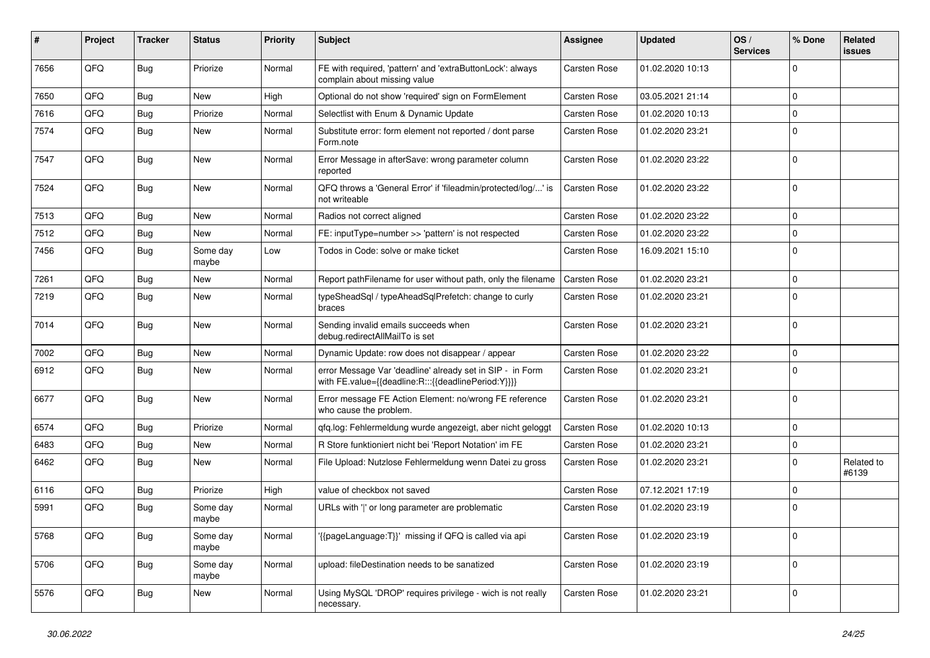| ∦    | Project | <b>Tracker</b> | <b>Status</b>     | <b>Priority</b> | <b>Subject</b>                                                                                                   | Assignee            | <b>Updated</b>   | OS/<br><b>Services</b> | % Done      | Related<br>issues   |
|------|---------|----------------|-------------------|-----------------|------------------------------------------------------------------------------------------------------------------|---------------------|------------------|------------------------|-------------|---------------------|
| 7656 | QFQ     | <b>Bug</b>     | Priorize          | Normal          | FE with required, 'pattern' and 'extraButtonLock': always<br>complain about missing value                        | <b>Carsten Rose</b> | 01.02.2020 10:13 |                        | $\Omega$    |                     |
| 7650 | QFQ     | <b>Bug</b>     | New               | High            | Optional do not show 'required' sign on FormElement                                                              | <b>Carsten Rose</b> | 03.05.2021 21:14 |                        | $\Omega$    |                     |
| 7616 | QFQ     | Bug            | Priorize          | Normal          | Selectlist with Enum & Dynamic Update                                                                            | <b>Carsten Rose</b> | 01.02.2020 10:13 |                        | $\Omega$    |                     |
| 7574 | QFQ     | Bug            | New               | Normal          | Substitute error: form element not reported / dont parse<br>Form.note                                            | <b>Carsten Rose</b> | 01.02.2020 23:21 |                        | $\Omega$    |                     |
| 7547 | QFQ     | Bug            | <b>New</b>        | Normal          | Error Message in afterSave: wrong parameter column<br>reported                                                   | Carsten Rose        | 01.02.2020 23:22 |                        | $\mathbf 0$ |                     |
| 7524 | QFQ     | <b>Bug</b>     | <b>New</b>        | Normal          | QFQ throws a 'General Error' if 'fileadmin/protected/log/' is<br>not writeable                                   | <b>Carsten Rose</b> | 01.02.2020 23:22 |                        | $\mathbf 0$ |                     |
| 7513 | QFQ     | <b>Bug</b>     | New               | Normal          | Radios not correct aligned                                                                                       | <b>Carsten Rose</b> | 01.02.2020 23:22 |                        | $\mathbf 0$ |                     |
| 7512 | QFQ     | <b>Bug</b>     | <b>New</b>        | Normal          | FE: inputType=number >> 'pattern' is not respected                                                               | <b>Carsten Rose</b> | 01.02.2020 23:22 |                        | $\Omega$    |                     |
| 7456 | QFQ     | <b>Bug</b>     | Some day<br>maybe | Low             | Todos in Code: solve or make ticket                                                                              | <b>Carsten Rose</b> | 16.09.2021 15:10 |                        | $\Omega$    |                     |
| 7261 | QFQ     | Bug            | <b>New</b>        | Normal          | Report pathFilename for user without path, only the filename                                                     | <b>Carsten Rose</b> | 01.02.2020 23:21 |                        | $\mathbf 0$ |                     |
| 7219 | QFQ     | Bug            | <b>New</b>        | Normal          | typeSheadSgl / typeAheadSglPrefetch: change to curly<br>braces                                                   | Carsten Rose        | 01.02.2020 23:21 |                        | $\Omega$    |                     |
| 7014 | QFQ     | <b>Bug</b>     | <b>New</b>        | Normal          | Sending invalid emails succeeds when<br>debug.redirectAllMailTo is set                                           | <b>Carsten Rose</b> | 01.02.2020 23:21 |                        | $\Omega$    |                     |
| 7002 | QFQ     | <b>Bug</b>     | <b>New</b>        | Normal          | Dynamic Update: row does not disappear / appear                                                                  | <b>Carsten Rose</b> | 01.02.2020 23:22 |                        | $\mathbf 0$ |                     |
| 6912 | QFQ     | <b>Bug</b>     | <b>New</b>        | Normal          | error Message Var 'deadline' already set in SIP - in Form<br>with FE.value={{deadline:R:::{{deadlinePeriod:Y}}}} | <b>Carsten Rose</b> | 01.02.2020 23:21 |                        | $\Omega$    |                     |
| 6677 | QFQ     | <b>Bug</b>     | <b>New</b>        | Normal          | Error message FE Action Element: no/wrong FE reference<br>who cause the problem.                                 | <b>Carsten Rose</b> | 01.02.2020 23:21 |                        | $\mathbf 0$ |                     |
| 6574 | QFQ     | <b>Bug</b>     | Priorize          | Normal          | qfq.log: Fehlermeldung wurde angezeigt, aber nicht geloggt                                                       | Carsten Rose        | 01.02.2020 10:13 |                        | $\mathbf 0$ |                     |
| 6483 | QFQ     | <b>Bug</b>     | <b>New</b>        | Normal          | R Store funktioniert nicht bei 'Report Notation' im FE                                                           | <b>Carsten Rose</b> | 01.02.2020 23:21 |                        | $\mathbf 0$ |                     |
| 6462 | QFQ     | Bug            | New               | Normal          | File Upload: Nutzlose Fehlermeldung wenn Datei zu gross                                                          | Carsten Rose        | 01.02.2020 23:21 |                        | $\Omega$    | Related to<br>#6139 |
| 6116 | QFQ     | <b>Bug</b>     | Priorize          | High            | value of checkbox not saved                                                                                      | <b>Carsten Rose</b> | 07.12.2021 17:19 |                        | $\Omega$    |                     |
| 5991 | QFQ     | Bug            | Some day<br>maybe | Normal          | URLs with ' ' or long parameter are problematic                                                                  | <b>Carsten Rose</b> | 01.02.2020 23:19 |                        | $\mathbf 0$ |                     |
| 5768 | QFQ     | <b>Bug</b>     | Some day<br>maybe | Normal          | '{{pageLanguage:T}}' missing if QFQ is called via api                                                            | Carsten Rose        | 01.02.2020 23:19 |                        | 0           |                     |
| 5706 | QFG     | Bug            | Some day<br>maybe | Normal          | upload: fileDestination needs to be sanatized                                                                    | Carsten Rose        | 01.02.2020 23:19 |                        | 0           |                     |
| 5576 | QFQ     | <b>Bug</b>     | New               | Normal          | Using MySQL 'DROP' requires privilege - wich is not really<br>necessary.                                         | Carsten Rose        | 01.02.2020 23:21 |                        | 0           |                     |